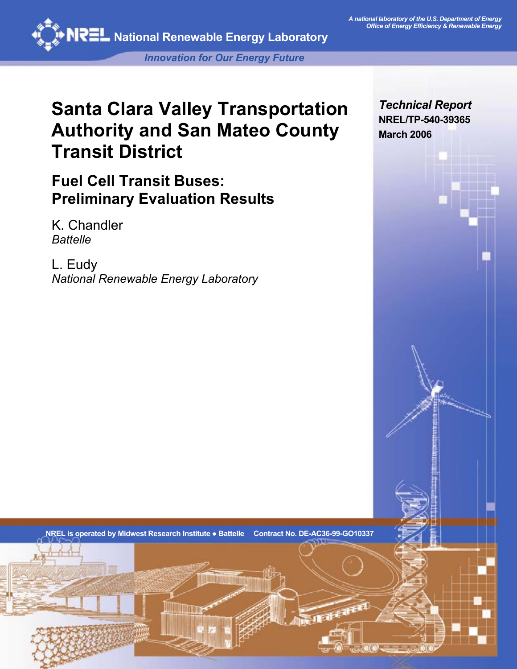

*Innovation for Our Energy Future* 

# **Santa Clara Valley Transportation Authority and San Mateo County Transit District**

**Fuel Cell Transit Buses: Preliminary Evaluation Results** 

K. Chandler *Battelle* 

L. Eudy *National Renewable Energy Laboratory* *Technical Report*  **NREL/TP-540-39365 March 2006** 

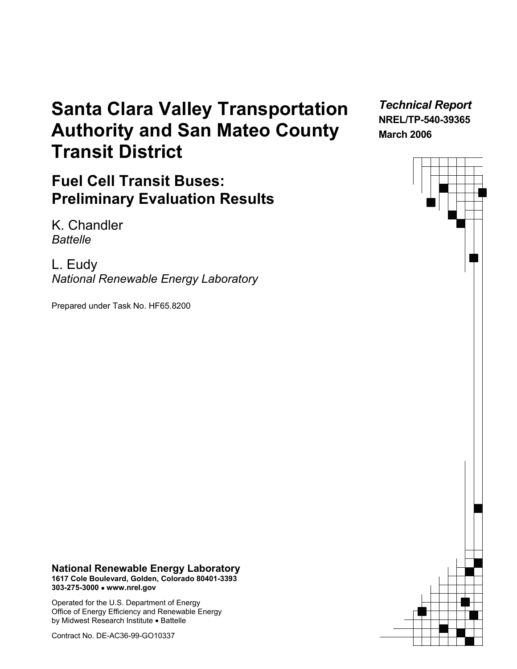# **Santa Clara Valley Transportation Authority and San Mateo County Transit District**

**Fuel Cell Transit Buses: Preliminary Evaluation Results** 

K. Chandler *Battelle* 

L. Eudy *National Renewable Energy Laboratory*

Prepared under Task No. HF65.8200

*Technical Report*  **NREL/TP-540-39365 March 2006** 

**National Renewable Energy Laboratory 1617 Cole Boulevard, Golden, Colorado 80401-3393 303-275-3000** • **www.nrel.gov**

Operated for the U.S. Department of Energy Office of Energy Efficiency and Renewable Energy by Midwest Research Institute • Battelle

Contract No. DE-AC36-99-GO10337

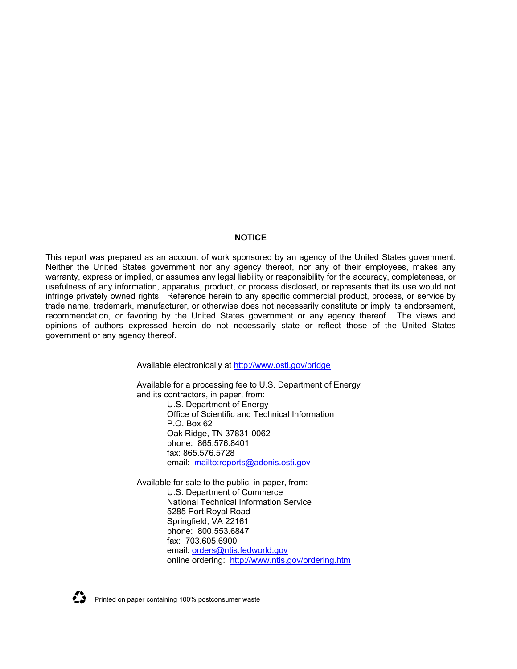#### **NOTICE**

This report was prepared as an account of work sponsored by an agency of the United States government. Neither the United States government nor any agency thereof, nor any of their employees, makes any warranty, express or implied, or assumes any legal liability or responsibility for the accuracy, completeness, or usefulness of any information, apparatus, product, or process disclosed, or represents that its use would not infringe privately owned rights. Reference herein to any specific commercial product, process, or service by trade name, trademark, manufacturer, or otherwise does not necessarily constitute or imply its endorsement, recommendation, or favoring by the United States government or any agency thereof. The views and opinions of authors expressed herein do not necessarily state or reflect those of the United States government or any agency thereof.

Available electronically at<http://www.osti.gov/bridge>

Available for a processing fee to U.S. Department of Energy and its contractors, in paper, from: U.S. Department of Energy Office of Scientific and Technical Information P.O. Box 62 Oak Ridge, TN 37831-0062 phone: 865.576.8401 fax: 865.576.5728 email: <mailto:reports@adonis.osti.gov>

Available for sale to the public, in paper, from: U.S. Department of Commerce National Technical Information Service 5285 Port Royal Road Springfield, VA 22161 phone: 800.553.6847 fax: 703.605.6900 email: [orders@ntis.fedworld.gov](mailto:orders@ntis.fedworld.gov) online ordering: <http://www.ntis.gov/ordering.htm>



 $\sum$  Printed on paper containing 100% postconsumer waste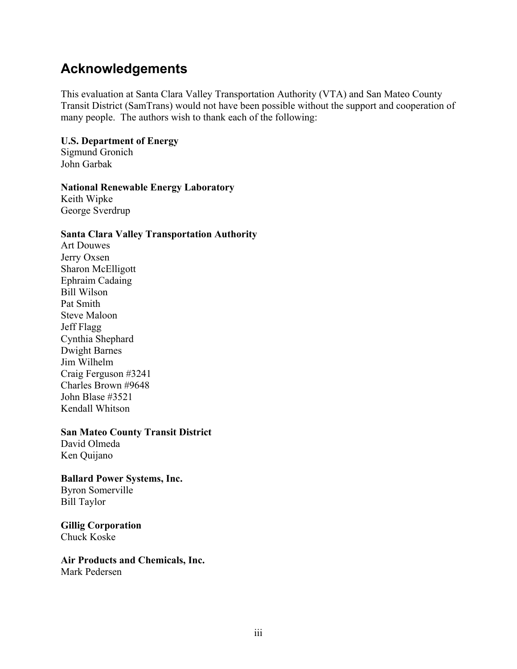## **Acknowledgements**

This evaluation at Santa Clara Valley Transportation Authority (VTA) and San Mateo County Transit District (SamTrans) would not have been possible without the support and cooperation of many people. The authors wish to thank each of the following:

### **U.S. Department of Energy**

Sigmund Gronich John Garbak

### **National Renewable Energy Laboratory**

Keith Wipke George Sverdrup

### **Santa Clara Valley Transportation Authority**

Art Douwes Jerry Oxsen Sharon McElligott Ephraim Cadaing Bill Wilson Pat Smith Steve Maloon Jeff Flagg Cynthia Shephard Dwight Barnes Jim Wilhelm Craig Ferguson #3241 Charles Brown #9648 John Blase #3521 Kendall Whitson

### **San Mateo County Transit District**

David Olmeda Ken Quijano

#### **Ballard Power Systems, Inc.**  Byron Somerville

Bill Taylor

**Gillig Corporation**  Chuck Koske

# **Air Products and Chemicals, Inc.**

Mark Pedersen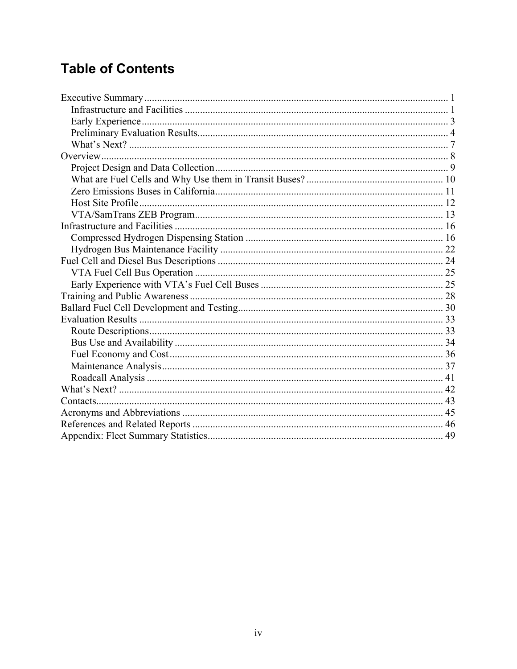# **Table of Contents**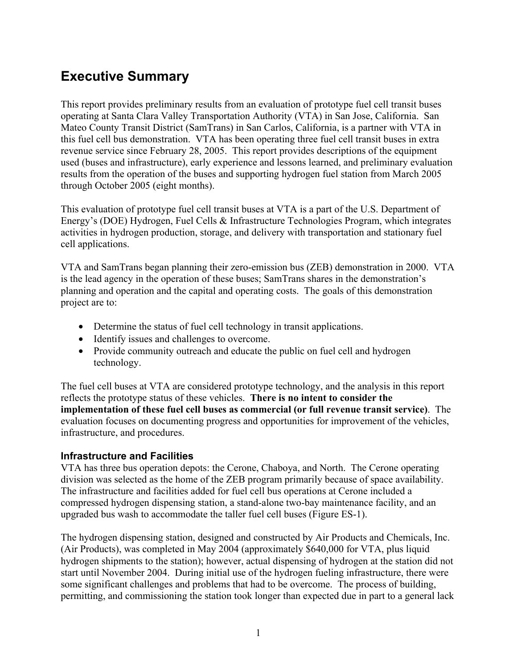# <span id="page-5-0"></span>**Executive Summary**

This report provides preliminary results from an evaluation of prototype fuel cell transit buses operating at Santa Clara Valley Transportation Authority (VTA) in San Jose, California. San Mateo County Transit District (SamTrans) in San Carlos, California, is a partner with VTA in this fuel cell bus demonstration. VTA has been operating three fuel cell transit buses in extra revenue service since February 28, 2005. This report provides descriptions of the equipment used (buses and infrastructure), early experience and lessons learned, and preliminary evaluation results from the operation of the buses and supporting hydrogen fuel station from March 2005 through October 2005 (eight months).

This evaluation of prototype fuel cell transit buses at VTA is a part of the U.S. Department of Energy's (DOE) Hydrogen, Fuel Cells & Infrastructure Technologies Program, which integrates activities in hydrogen production, storage, and delivery with transportation and stationary fuel cell applications.

VTA and SamTrans began planning their zero-emission bus (ZEB) demonstration in 2000. VTA is the lead agency in the operation of these buses; SamTrans shares in the demonstration's planning and operation and the capital and operating costs. The goals of this demonstration project are to:

- Determine the status of fuel cell technology in transit applications.
- Identify issues and challenges to overcome.
- Provide community outreach and educate the public on fuel cell and hydrogen technology.

The fuel cell buses at VTA are considered prototype technology, and the analysis in this report reflects the prototype status of these vehicles. **There is no intent to consider the implementation of these fuel cell buses as commercial (or full revenue transit service)**. The evaluation focuses on documenting progress and opportunities for improvement of the vehicles, infrastructure, and procedures.

### **Infrastructure and Facilities**

VTA has three bus operation depots: the Cerone, Chaboya, and North. The Cerone operating division was selected as the home of the ZEB program primarily because of space availability. The infrastructure and facilities added for fuel cell bus operations at Cerone included a compressed hydrogen dispensing station, a stand-alone two-bay maintenance facility, and an upgraded bus wash to accommodate the taller fuel cell buses (Figure ES-1).

The hydrogen dispensing station, designed and constructed by Air Products and Chemicals, Inc. (Air Products), was completed in May 2004 (approximately \$640,000 for VTA, plus liquid hydrogen shipments to the station); however, actual dispensing of hydrogen at the station did not start until November 2004. During initial use of the hydrogen fueling infrastructure, there were some significant challenges and problems that had to be overcome. The process of building, permitting, and commissioning the station took longer than expected due in part to a general lack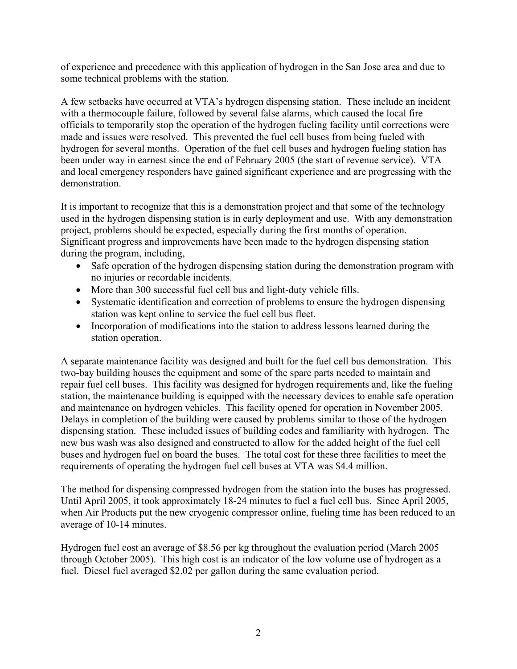of experience and precedence with this application of hydrogen in the San Jose area and due to some technical problems with the station.

A few setbacks have occurred at VTA's hydrogen dispensing station. These include an incident with a thermocouple failure, followed by several false alarms, which caused the local fire officials to temporarily stop the operation of the hydrogen fueling facility until corrections were made and issues were resolved. This prevented the fuel cell buses from being fueled with hydrogen for several months. Operation of the fuel cell buses and hydrogen fueling station has been under way in earnest since the end of February 2005 (the start of revenue service). VTA and local emergency responders have gained significant experience and are progressing with the demonstration.

It is important to recognize that this is a demonstration project and that some of the technology used in the hydrogen dispensing station is in early deployment and use. With any demonstration project, problems should be expected, especially during the first months of operation. Significant progress and improvements have been made to the hydrogen dispensing station during the program, including,

- Safe operation of the hydrogen dispensing station during the demonstration program with no injuries or recordable incidents.
- More than 300 successful fuel cell bus and light-duty vehicle fills.
- Systematic identification and correction of problems to ensure the hydrogen dispensing station was kept online to service the fuel cell bus fleet.
- Incorporation of modifications into the station to address lessons learned during the station operation.

A separate maintenance facility was designed and built for the fuel cell bus demonstration. This two-bay building houses the equipment and some of the spare parts needed to maintain and repair fuel cell buses. This facility was designed for hydrogen requirements and, like the fueling station, the maintenance building is equipped with the necessary devices to enable safe operation and maintenance on hydrogen vehicles. This facility opened for operation in November 2005. Delays in completion of the building were caused by problems similar to those of the hydrogen dispensing station. These included issues of building codes and familiarity with hydrogen. The new bus wash was also designed and constructed to allow for the added height of the fuel cell buses and hydrogen fuel on board the buses. The total cost for these three facilities to meet the requirements of operating the hydrogen fuel cell buses at VTA was \$4.4 million.

The method for dispensing compressed hydrogen from the station into the buses has progressed. Until April 2005, it took approximately 18-24 minutes to fuel a fuel cell bus. Since April 2005, when Air Products put the new cryogenic compressor online, fueling time has been reduced to an average of 10-14 minutes.

Hydrogen fuel cost an average of \$8.56 per kg throughout the evaluation period (March 2005 through October 2005). This high cost is an indicator of the low volume use of hydrogen as a fuel. Diesel fuel averaged \$2.02 per gallon during the same evaluation period.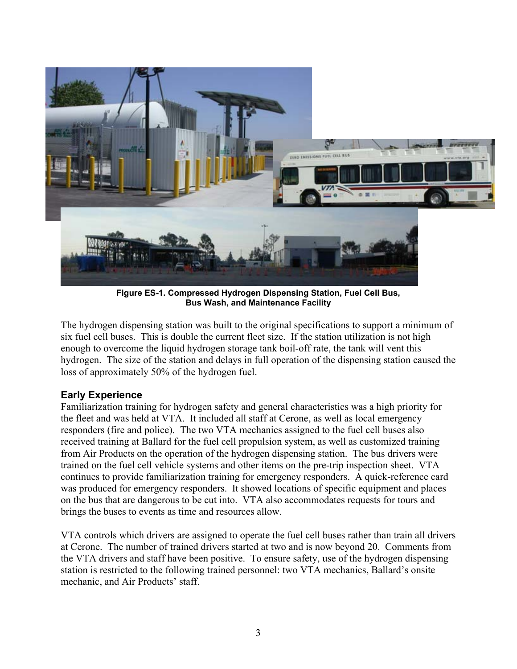<span id="page-7-0"></span>

**Figure ES-1. Compressed Hydrogen Dispensing Station, Fuel Cell Bus, Bus Wash, and Maintenance Facility**

The hydrogen dispensing station was built to the original specifications to support a minimum of six fuel cell buses. This is double the current fleet size. If the station utilization is not high enough to overcome the liquid hydrogen storage tank boil-off rate, the tank will vent this hydrogen. The size of the station and delays in full operation of the dispensing station caused the loss of approximately 50% of the hydrogen fuel.

### **Early Experience**

Familiarization training for hydrogen safety and general characteristics was a high priority for the fleet and was held at VTA. It included all staff at Cerone, as well as local emergency responders (fire and police). The two VTA mechanics assigned to the fuel cell buses also received training at Ballard for the fuel cell propulsion system, as well as customized training from Air Products on the operation of the hydrogen dispensing station. The bus drivers were trained on the fuel cell vehicle systems and other items on the pre-trip inspection sheet. VTA continues to provide familiarization training for emergency responders. A quick-reference card was produced for emergency responders. It showed locations of specific equipment and places on the bus that are dangerous to be cut into. VTA also accommodates requests for tours and brings the buses to events as time and resources allow.

VTA controls which drivers are assigned to operate the fuel cell buses rather than train all drivers at Cerone. The number of trained drivers started at two and is now beyond 20. Comments from the VTA drivers and staff have been positive. To ensure safety, use of the hydrogen dispensing station is restricted to the following trained personnel: two VTA mechanics, Ballard's onsite mechanic, and Air Products' staff.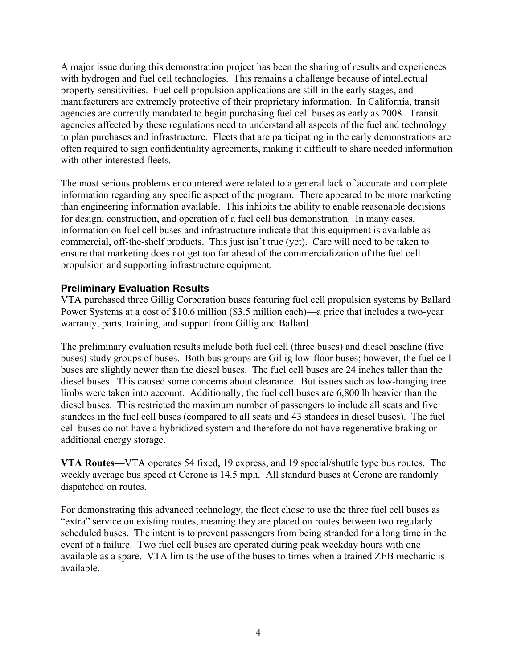<span id="page-8-0"></span>A major issue during this demonstration project has been the sharing of results and experiences with hydrogen and fuel cell technologies. This remains a challenge because of intellectual property sensitivities. Fuel cell propulsion applications are still in the early stages, and manufacturers are extremely protective of their proprietary information. In California, transit agencies are currently mandated to begin purchasing fuel cell buses as early as 2008. Transit agencies affected by these regulations need to understand all aspects of the fuel and technology to plan purchases and infrastructure. Fleets that are participating in the early demonstrations are often required to sign confidentiality agreements, making it difficult to share needed information with other interested fleets.

The most serious problems encountered were related to a general lack of accurate and complete information regarding any specific aspect of the program. There appeared to be more marketing than engineering information available. This inhibits the ability to enable reasonable decisions for design, construction, and operation of a fuel cell bus demonstration. In many cases, information on fuel cell buses and infrastructure indicate that this equipment is available as commercial, off-the-shelf products. This just isn't true (yet). Care will need to be taken to ensure that marketing does not get too far ahead of the commercialization of the fuel cell propulsion and supporting infrastructure equipment.

### **Preliminary Evaluation Results**

VTA purchased three Gillig Corporation buses featuring fuel cell propulsion systems by Ballard Power Systems at a cost of \$10.6 million (\$3.5 million each)—a price that includes a two-year warranty, parts, training, and support from Gillig and Ballard.

The preliminary evaluation results include both fuel cell (three buses) and diesel baseline (five buses) study groups of buses. Both bus groups are Gillig low-floor buses; however, the fuel cell buses are slightly newer than the diesel buses. The fuel cell buses are 24 inches taller than the diesel buses. This caused some concerns about clearance. But issues such as low-hanging tree limbs were taken into account. Additionally, the fuel cell buses are 6,800 lb heavier than the diesel buses. This restricted the maximum number of passengers to include all seats and five standees in the fuel cell buses (compared to all seats and 43 standees in diesel buses). The fuel cell buses do not have a hybridized system and therefore do not have regenerative braking or additional energy storage.

**VTA Routes—**VTA operates 54 fixed, 19 express, and 19 special/shuttle type bus routes. The weekly average bus speed at Cerone is 14.5 mph. All standard buses at Cerone are randomly dispatched on routes.

For demonstrating this advanced technology, the fleet chose to use the three fuel cell buses as "extra" service on existing routes, meaning they are placed on routes between two regularly scheduled buses. The intent is to prevent passengers from being stranded for a long time in the event of a failure. Two fuel cell buses are operated during peak weekday hours with one available as a spare. VTA limits the use of the buses to times when a trained ZEB mechanic is available.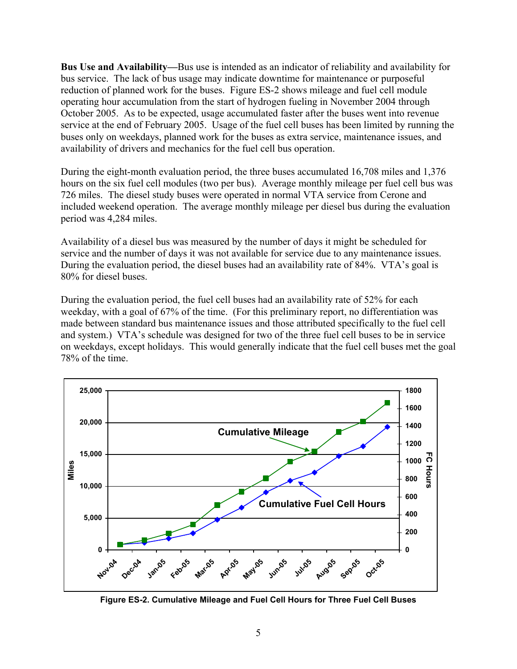**Bus Use and Availability—**Bus use is intended as an indicator of reliability and availability for bus service. The lack of bus usage may indicate downtime for maintenance or purposeful reduction of planned work for the buses. Figure ES-2 shows mileage and fuel cell module operating hour accumulation from the start of hydrogen fueling in November 2004 through October 2005. As to be expected, usage accumulated faster after the buses went into revenue service at the end of February 2005. Usage of the fuel cell buses has been limited by running the buses only on weekdays, planned work for the buses as extra service, maintenance issues, and availability of drivers and mechanics for the fuel cell bus operation.

During the eight-month evaluation period, the three buses accumulated 16,708 miles and 1,376 hours on the six fuel cell modules (two per bus). Average monthly mileage per fuel cell bus was 726 miles. The diesel study buses were operated in normal VTA service from Cerone and included weekend operation. The average monthly mileage per diesel bus during the evaluation period was 4,284 miles.

Availability of a diesel bus was measured by the number of days it might be scheduled for service and the number of days it was not available for service due to any maintenance issues. During the evaluation period, the diesel buses had an availability rate of 84%. VTA's goal is 80% for diesel buses.

During the evaluation period, the fuel cell buses had an availability rate of 52% for each weekday, with a goal of 67% of the time. (For this preliminary report, no differentiation was made between standard bus maintenance issues and those attributed specifically to the fuel cell and system.) VTA's schedule was designed for two of the three fuel cell buses to be in service on weekdays, except holidays. This would generally indicate that the fuel cell buses met the goal 78% of the time.



**Figure ES-2. Cumulative Mileage and Fuel Cell Hours for Three Fuel Cell Buses**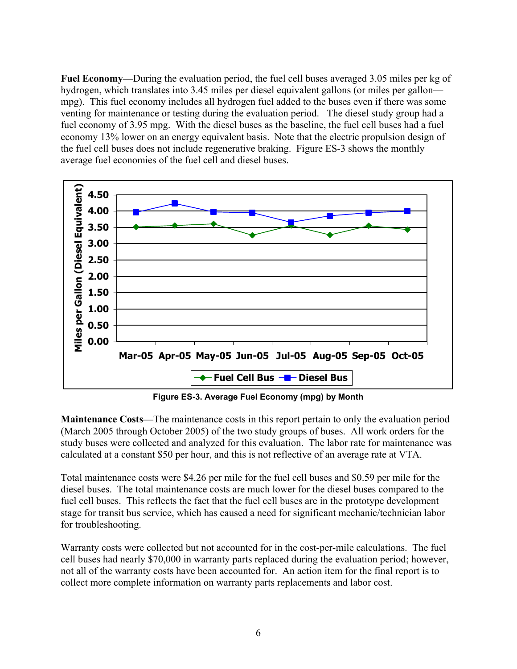**Fuel Economy—**During the evaluation period, the fuel cell buses averaged 3.05 miles per kg of hydrogen, which translates into 3.45 miles per diesel equivalent gallons (or miles per gallon mpg). This fuel economy includes all hydrogen fuel added to the buses even if there was some venting for maintenance or testing during the evaluation period. The diesel study group had a fuel economy of 3.95 mpg. With the diesel buses as the baseline, the fuel cell buses had a fuel economy 13% lower on an energy equivalent basis. Note that the electric propulsion design of the fuel cell buses does not include regenerative braking. Figure ES-3 shows the monthly average fuel economies of the fuel cell and diesel buses.



**Figure ES-3. Average Fuel Economy (mpg) by Month** 

**Maintenance Costs—**The maintenance costs in this report pertain to only the evaluation period (March 2005 through October 2005) of the two study groups of buses. All work orders for the study buses were collected and analyzed for this evaluation. The labor rate for maintenance was calculated at a constant \$50 per hour, and this is not reflective of an average rate at VTA.

Total maintenance costs were \$4.26 per mile for the fuel cell buses and \$0.59 per mile for the diesel buses. The total maintenance costs are much lower for the diesel buses compared to the fuel cell buses. This reflects the fact that the fuel cell buses are in the prototype development stage for transit bus service, which has caused a need for significant mechanic/technician labor for troubleshooting.

Warranty costs were collected but not accounted for in the cost-per-mile calculations. The fuel cell buses had nearly \$70,000 in warranty parts replaced during the evaluation period; however, not all of the warranty costs have been accounted for. An action item for the final report is to collect more complete information on warranty parts replacements and labor cost.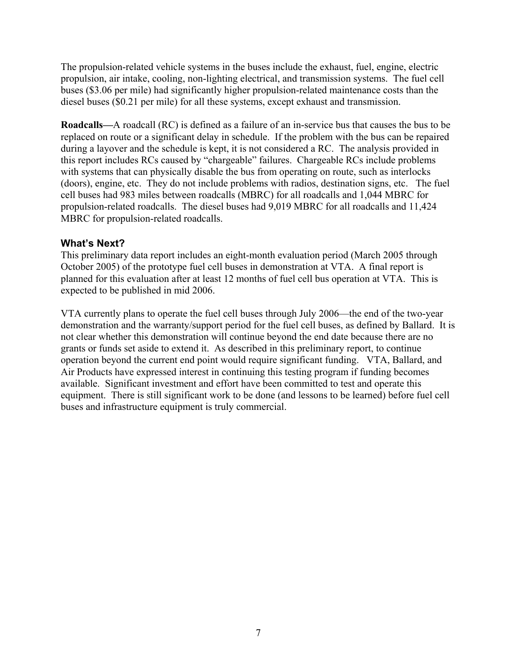<span id="page-11-0"></span>The propulsion-related vehicle systems in the buses include the exhaust, fuel, engine, electric propulsion, air intake, cooling, non-lighting electrical, and transmission systems. The fuel cell buses (\$3.06 per mile) had significantly higher propulsion-related maintenance costs than the diesel buses (\$0.21 per mile) for all these systems, except exhaust and transmission.

**Roadcalls—**A roadcall (RC) is defined as a failure of an in-service bus that causes the bus to be replaced on route or a significant delay in schedule. If the problem with the bus can be repaired during a layover and the schedule is kept, it is not considered a RC. The analysis provided in this report includes RCs caused by "chargeable" failures. Chargeable RCs include problems with systems that can physically disable the bus from operating on route, such as interlocks (doors), engine, etc. They do not include problems with radios, destination signs, etc. The fuel cell buses had 983 miles between roadcalls (MBRC) for all roadcalls and 1,044 MBRC for propulsion-related roadcalls. The diesel buses had 9,019 MBRC for all roadcalls and 11,424 MBRC for propulsion-related roadcalls.

### **What's Next?**

This preliminary data report includes an eight-month evaluation period (March 2005 through October 2005) of the prototype fuel cell buses in demonstration at VTA. A final report is planned for this evaluation after at least 12 months of fuel cell bus operation at VTA. This is expected to be published in mid 2006.

VTA currently plans to operate the fuel cell buses through July 2006—the end of the two-year demonstration and the warranty/support period for the fuel cell buses, as defined by Ballard. It is not clear whether this demonstration will continue beyond the end date because there are no grants or funds set aside to extend it. As described in this preliminary report, to continue operation beyond the current end point would require significant funding. VTA, Ballard, and Air Products have expressed interest in continuing this testing program if funding becomes available. Significant investment and effort have been committed to test and operate this equipment. There is still significant work to be done (and lessons to be learned) before fuel cell buses and infrastructure equipment is truly commercial.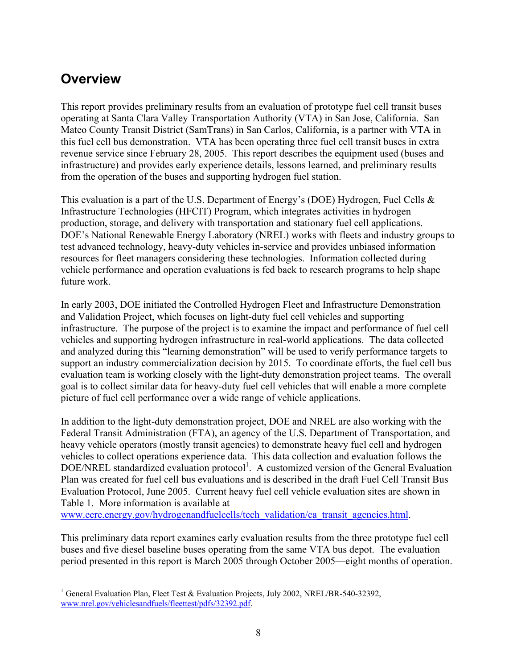## <span id="page-12-0"></span>**Overview**

This report provides preliminary results from an evaluation of prototype fuel cell transit buses operating at Santa Clara Valley Transportation Authority (VTA) in San Jose, California. San Mateo County Transit District (SamTrans) in San Carlos, California, is a partner with VTA in this fuel cell bus demonstration. VTA has been operating three fuel cell transit buses in extra revenue service since February 28, 2005. This report describes the equipment used (buses and infrastructure) and provides early experience details, lessons learned, and preliminary results from the operation of the buses and supporting hydrogen fuel station.

This evaluation is a part of the U.S. Department of Energy's (DOE) Hydrogen, Fuel Cells & Infrastructure Technologies (HFCIT) Program, which integrates activities in hydrogen production, storage, and delivery with transportation and stationary fuel cell applications. DOE's National Renewable Energy Laboratory (NREL) works with fleets and industry groups to test advanced technology, heavy-duty vehicles in-service and provides unbiased information resources for fleet managers considering these technologies. Information collected during vehicle performance and operation evaluations is fed back to research programs to help shape future work.

In early 2003, DOE initiated the Controlled Hydrogen Fleet and Infrastructure Demonstration and Validation Project, which focuses on light-duty fuel cell vehicles and supporting infrastructure. The purpose of the project is to examine the impact and performance of fuel cell vehicles and supporting hydrogen infrastructure in real-world applications. The data collected and analyzed during this "learning demonstration" will be used to verify performance targets to support an industry commercialization decision by 2015. To coordinate efforts, the fuel cell bus evaluation team is working closely with the light-duty demonstration project teams. The overall goal is to collect similar data for heavy-duty fuel cell vehicles that will enable a more complete picture of fuel cell performance over a wide range of vehicle applications.

In addition to the light-duty demonstration project, DOE and NREL are also working with the Federal Transit Administration (FTA), an agency of the U.S. Department of Transportation, and heavy vehicle operators (mostly transit agencies) to demonstrate heavy fuel cell and hydrogen vehicles to collect operations experience data. This data collection and evaluation follows the DOE/NREL standardized evaluation protocol<sup>[1](#page-12-1)</sup>. A customized version of the General Evaluation Plan was created for fuel cell bus evaluations and is described in the draft Fuel Cell Transit Bus Evaluation Protocol, June 2005. Current heavy fuel cell vehicle evaluation sites are shown in Table 1. More information is available at

[www.eere.energy.gov/hydrogenandfuelcells/tech\\_validation/ca\\_transit\\_agencies.html.](http://www.eere.energy.gov/hydrogenandfuelcells/tech_validation/ca_transit_agencies.html)

This preliminary data report examines early evaluation results from the three prototype fuel cell buses and five diesel baseline buses operating from the same VTA bus depot. The evaluation period presented in this report is March 2005 through October 2005—eight months of operation.

<span id="page-12-1"></span><sup>1</sup> <sup>1</sup> General Evaluation Plan, Fleet Test & Evaluation Projects, July 2002, NREL/BR-540-32392, [www.nrel.gov/vehiclesandfuels/fleettest/pdfs/32392.pdf.](http://www.nrel.gov/vehiclesandfuels/fleettest/pdfs/32392.pdf)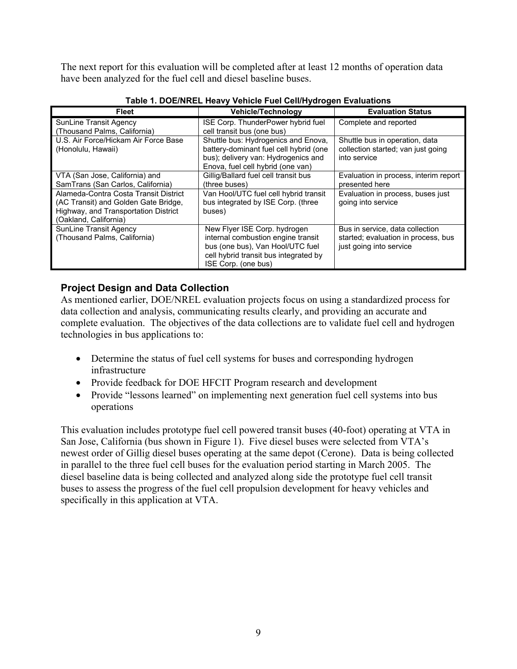<span id="page-13-0"></span>The next report for this evaluation will be completed after at least 12 months of operation data have been analyzed for the fuel cell and diesel baseline buses.

| <b>Fleet</b>                          | <b>Vehicle/Technology</b>              | <b>Evaluation Status</b>              |  |
|---------------------------------------|----------------------------------------|---------------------------------------|--|
| SunLine Transit Agency                | ISE Corp. ThunderPower hybrid fuel     | Complete and reported                 |  |
| (Thousand Palms, California)          | cell transit bus (one bus)             |                                       |  |
| U.S. Air Force/Hickam Air Force Base  | Shuttle bus: Hydrogenics and Enova,    | Shuttle bus in operation, data        |  |
| (Honolulu, Hawaii)                    | battery-dominant fuel cell hybrid (one | collection started; van just going    |  |
|                                       | bus); delivery van: Hydrogenics and    | into service                          |  |
|                                       | Enova, fuel cell hybrid (one van)      |                                       |  |
| VTA (San Jose, California) and        | Gillig/Ballard fuel cell transit bus   | Evaluation in process, interim report |  |
| SamTrans (San Carlos, California)     | (three buses)                          | presented here                        |  |
| Alameda-Contra Costa Transit District | Van Hool/UTC fuel cell hybrid transit  | Evaluation in process, buses just     |  |
| (AC Transit) and Golden Gate Bridge,  | bus integrated by ISE Corp. (three     | going into service                    |  |
| Highway, and Transportation District  | buses)                                 |                                       |  |
| (Oakland, California)                 |                                        |                                       |  |
| <b>SunLine Transit Agency</b>         | New Flyer ISE Corp. hydrogen           | Bus in service, data collection       |  |
| (Thousand Palms, California)          | internal combustion engine transit     | started; evaluation in process, bus   |  |
|                                       | bus (one bus), Van Hool/UTC fuel       | just going into service               |  |
|                                       | cell hybrid transit bus integrated by  |                                       |  |
|                                       | ISE Corp. (one bus)                    |                                       |  |

**Table 1. DOE/NREL Heavy Vehicle Fuel Cell/Hydrogen Evaluations** 

### **Project Design and Data Collection**

As mentioned earlier, DOE/NREL evaluation projects focus on using a standardized process for data collection and analysis, communicating results clearly, and providing an accurate and complete evaluation. The objectives of the data collections are to validate fuel cell and hydrogen technologies in bus applications to:

- Determine the status of fuel cell systems for buses and corresponding hydrogen infrastructure
- Provide feedback for DOE HFCIT Program research and development
- Provide "lessons learned" on implementing next generation fuel cell systems into bus operations

This evaluation includes prototype fuel cell powered transit buses (40-foot) operating at VTA in San Jose, California (bus shown in Figure 1). Five diesel buses were selected from VTA's newest order of Gillig diesel buses operating at the same depot (Cerone). Data is being collected in parallel to the three fuel cell buses for the evaluation period starting in March 2005. The diesel baseline data is being collected and analyzed along side the prototype fuel cell transit buses to assess the progress of the fuel cell propulsion development for heavy vehicles and specifically in this application at VTA.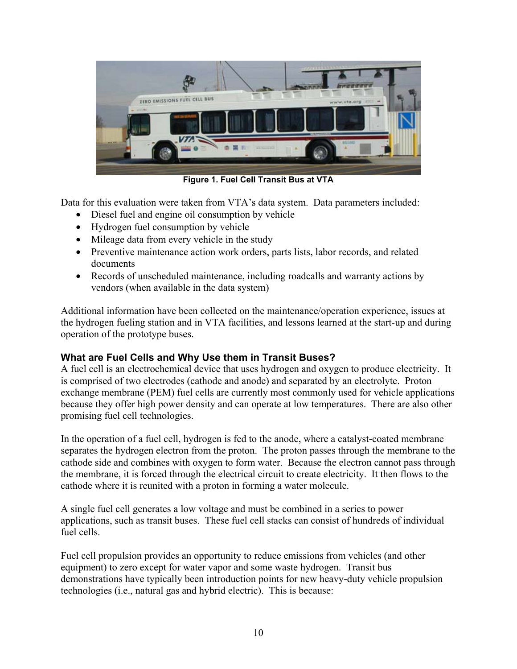<span id="page-14-0"></span>

**Figure 1. Fuel Cell Transit Bus at VTA** 

Data for this evaluation were taken from VTA's data system. Data parameters included:

- Diesel fuel and engine oil consumption by vehicle
- Hydrogen fuel consumption by vehicle
- Mileage data from every vehicle in the study
- Preventive maintenance action work orders, parts lists, labor records, and related documents
- Records of unscheduled maintenance, including roadcalls and warranty actions by vendors (when available in the data system)

Additional information have been collected on the maintenance/operation experience, issues at the hydrogen fueling station and in VTA facilities, and lessons learned at the start-up and during operation of the prototype buses.

### **What are Fuel Cells and Why Use them in Transit Buses?**

A fuel cell is an electrochemical device that uses hydrogen and oxygen to produce electricity. It is comprised of two electrodes (cathode and anode) and separated by an electrolyte. Proton exchange membrane (PEM) fuel cells are currently most commonly used for vehicle applications because they offer high power density and can operate at low temperatures. There are also other promising fuel cell technologies.

In the operation of a fuel cell, hydrogen is fed to the anode, where a catalyst-coated membrane separates the hydrogen electron from the proton. The proton passes through the membrane to the cathode side and combines with oxygen to form water. Because the electron cannot pass through the membrane, it is forced through the electrical circuit to create electricity. It then flows to the cathode where it is reunited with a proton in forming a water molecule.

A single fuel cell generates a low voltage and must be combined in a series to power applications, such as transit buses. These fuel cell stacks can consist of hundreds of individual fuel cells.

Fuel cell propulsion provides an opportunity to reduce emissions from vehicles (and other equipment) to zero except for water vapor and some waste hydrogen. Transit bus demonstrations have typically been introduction points for new heavy-duty vehicle propulsion technologies (i.e., natural gas and hybrid electric). This is because: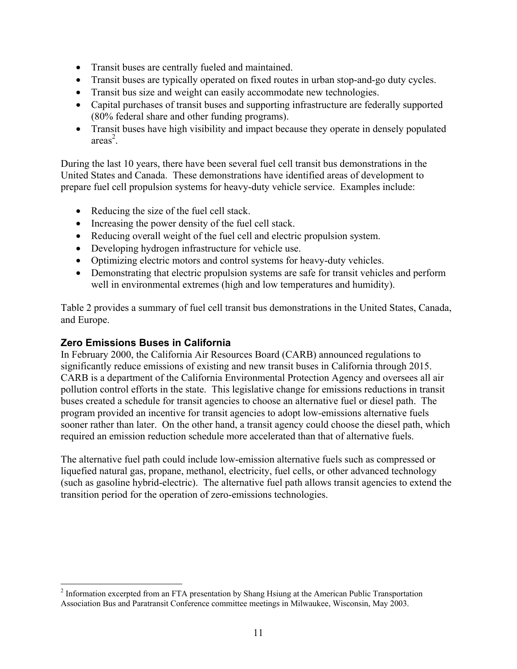- <span id="page-15-0"></span>• Transit buses are centrally fueled and maintained.
- Transit buses are typically operated on fixed routes in urban stop-and-go duty cycles.
- Transit bus size and weight can easily accommodate new technologies.
- Capital purchases of transit buses and supporting infrastructure are federally supported (80% federal share and other funding programs).
- Transit buses have high visibility and impact because they operate in densely populated  $area<sup>2</sup>$  $area<sup>2</sup>$  $area<sup>2</sup>$ .

During the last 10 years, there have been several fuel cell transit bus demonstrations in the United States and Canada. These demonstrations have identified areas of development to prepare fuel cell propulsion systems for heavy-duty vehicle service. Examples include:

- Reducing the size of the fuel cell stack.
- Increasing the power density of the fuel cell stack.
- Reducing overall weight of the fuel cell and electric propulsion system.
- Developing hydrogen infrastructure for vehicle use.
- Optimizing electric motors and control systems for heavy-duty vehicles.
- Demonstrating that electric propulsion systems are safe for transit vehicles and perform well in environmental extremes (high and low temperatures and humidity).

Table 2 provides a summary of fuel cell transit bus demonstrations in the United States, Canada, and Europe.

### **Zero Emissions Buses in California**

1

In February 2000, the California Air Resources Board (CARB) announced regulations to significantly reduce emissions of existing and new transit buses in California through 2015. CARB is a department of the California Environmental Protection Agency and oversees all air pollution control efforts in the state. This legislative change for emissions reductions in transit buses created a schedule for transit agencies to choose an alternative fuel or diesel path. The program provided an incentive for transit agencies to adopt low-emissions alternative fuels sooner rather than later. On the other hand, a transit agency could choose the diesel path, which required an emission reduction schedule more accelerated than that of alternative fuels.

The alternative fuel path could include low-emission alternative fuels such as compressed or liquefied natural gas, propane, methanol, electricity, fuel cells, or other advanced technology (such as gasoline hybrid-electric). The alternative fuel path allows transit agencies to extend the transition period for the operation of zero-emissions technologies.

<span id="page-15-1"></span><sup>&</sup>lt;sup>2</sup> Information excerpted from an FTA presentation by Shang Hsiung at the American Public Transportation Association Bus and Paratransit Conference committee meetings in Milwaukee, Wisconsin, May 2003.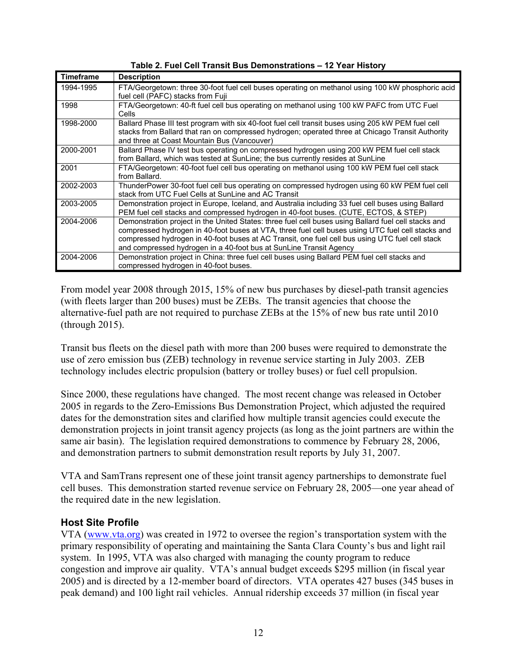<span id="page-16-0"></span>

| <b>Timeframe</b> | <b>Description</b>                                                                                                                                                                                                                                                                                                                                                                 |
|------------------|------------------------------------------------------------------------------------------------------------------------------------------------------------------------------------------------------------------------------------------------------------------------------------------------------------------------------------------------------------------------------------|
| 1994-1995        | FTA/Georgetown: three 30-foot fuel cell buses operating on methanol using 100 kW phosphoric acid<br>fuel cell (PAFC) stacks from Fuji                                                                                                                                                                                                                                              |
| 1998             | FTA/Georgetown: 40-ft fuel cell bus operating on methanol using 100 kW PAFC from UTC Fuel<br>Cells                                                                                                                                                                                                                                                                                 |
| 1998-2000        | Ballard Phase III test program with six 40-foot fuel cell transit buses using 205 kW PEM fuel cell<br>stacks from Ballard that ran on compressed hydrogen; operated three at Chicago Transit Authority<br>and three at Coast Mountain Bus (Vancouver)                                                                                                                              |
| 2000-2001        | Ballard Phase IV test bus operating on compressed hydrogen using 200 kW PEM fuel cell stack<br>from Ballard, which was tested at SunLine; the bus currently resides at SunLine                                                                                                                                                                                                     |
| 2001             | FTA/Georgetown: 40-foot fuel cell bus operating on methanol using 100 kW PEM fuel cell stack<br>from Ballard.                                                                                                                                                                                                                                                                      |
| 2002-2003        | ThunderPower 30-foot fuel cell bus operating on compressed hydrogen using 60 kW PEM fuel cell<br>stack from UTC Fuel Cells at SunLine and AC Transit                                                                                                                                                                                                                               |
| 2003-2005        | Demonstration project in Europe, Iceland, and Australia including 33 fuel cell buses using Ballard<br>PEM fuel cell stacks and compressed hydrogen in 40-foot buses. (CUTE, ECTOS, & STEP)                                                                                                                                                                                         |
| 2004-2006        | Demonstration project in the United States: three fuel cell buses using Ballard fuel cell stacks and<br>compressed hydrogen in 40-foot buses at VTA, three fuel cell buses using UTC fuel cell stacks and<br>compressed hydrogen in 40-foot buses at AC Transit, one fuel cell bus using UTC fuel cell stack<br>and compressed hydrogen in a 40-foot bus at SunLine Transit Agency |
| 2004-2006        | Demonstration project in China: three fuel cell buses using Ballard PEM fuel cell stacks and<br>compressed hydrogen in 40-foot buses.                                                                                                                                                                                                                                              |

**Table 2. Fuel Cell Transit Bus Demonstrations – 12 Year History**

From model year 2008 through 2015, 15% of new bus purchases by diesel-path transit agencies (with fleets larger than 200 buses) must be ZEBs. The transit agencies that choose the alternative-fuel path are not required to purchase ZEBs at the 15% of new bus rate until 2010 (through 2015).

Transit bus fleets on the diesel path with more than 200 buses were required to demonstrate the use of zero emission bus (ZEB) technology in revenue service starting in July 2003. ZEB technology includes electric propulsion (battery or trolley buses) or fuel cell propulsion.

Since 2000, these regulations have changed. The most recent change was released in October 2005 in regards to the Zero-Emissions Bus Demonstration Project, which adjusted the required dates for the demonstration sites and clarified how multiple transit agencies could execute the demonstration projects in joint transit agency projects (as long as the joint partners are within the same air basin). The legislation required demonstrations to commence by February 28, 2006, and demonstration partners to submit demonstration result reports by July 31, 2007.

VTA and SamTrans represent one of these joint transit agency partnerships to demonstrate fuel cell buses. This demonstration started revenue service on February 28, 2005—one year ahead of the required date in the new legislation.

### **Host Site Profile**

VTA ([www.vta.org](http://www.vta.org/)) was created in 1972 to oversee the region's transportation system with the primary responsibility of operating and maintaining the Santa Clara County's bus and light rail system. In 1995, VTA was also charged with managing the county program to reduce congestion and improve air quality. VTA's annual budget exceeds \$295 million (in fiscal year 2005) and is directed by a 12-member board of directors. VTA operates 427 buses (345 buses in peak demand) and 100 light rail vehicles. Annual ridership exceeds 37 million (in fiscal year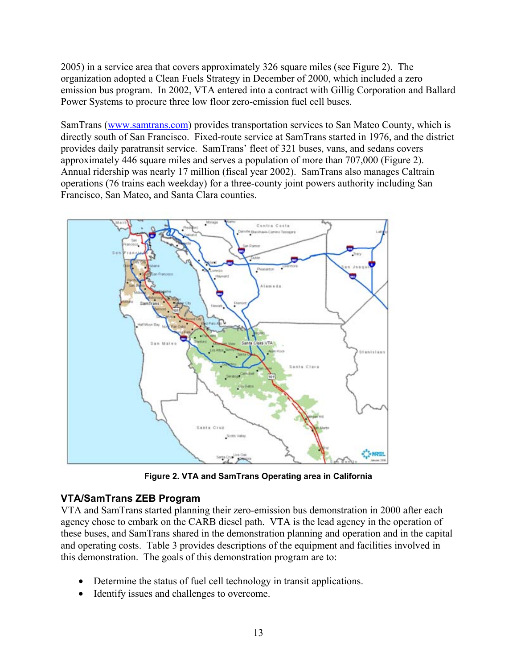<span id="page-17-0"></span>2005) in a service area that covers approximately 326 square miles (see Figure 2). The organization adopted a Clean Fuels Strategy in December of 2000, which included a zero emission bus program. In 2002, VTA entered into a contract with Gillig Corporation and Ballard Power Systems to procure three low floor zero-emission fuel cell buses.

SamTrans (www.samtrans.com) provides transportation services to San Mateo County, which is directly south of San Francisco. Fixed-route service at SamTrans started in 1976, and the district provides daily paratransit service. SamTrans' fleet of 321 buses, vans, and sedans covers approximately 446 square miles and serves a population of more than 707,000 (Figure 2). Annual ridership was nearly 17 million (fiscal year 2002). SamTrans also manages Caltrain operations (76 trains each weekday) for a three-county joint powers authority including San Francisco, San Mateo, and Santa Clara counties.



**Figure 2. VTA and SamTrans Operating area in California** 

### **VTA/SamTrans ZEB Program**

VTA and SamTrans started planning their zero-emission bus demonstration in 2000 after each agency chose to embark on the CARB diesel path. VTA is the lead agency in the operation of these buses, and SamTrans shared in the demonstration planning and operation and in the capital and operating costs. Table 3 provides descriptions of the equipment and facilities involved in this demonstration. The goals of this demonstration program are to:

- Determine the status of fuel cell technology in transit applications.
- Identify issues and challenges to overcome.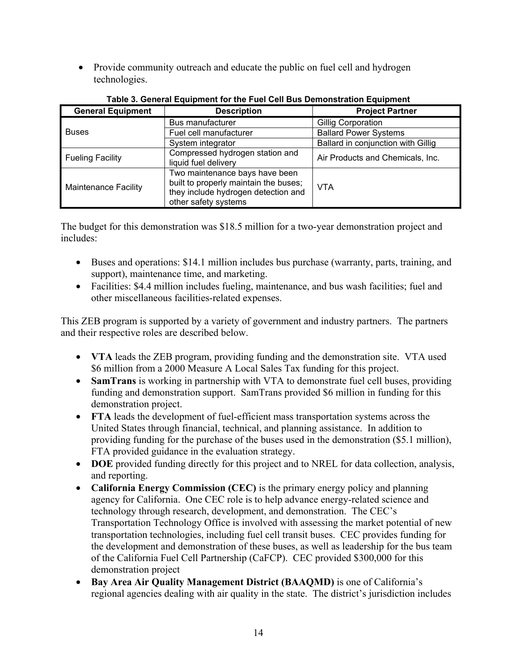• Provide community outreach and educate the public on fuel cell and hydrogen technologies.

| <b>General Equipment</b>    | <b>Description</b>                                                                                                                     | <b>Project Partner</b>             |
|-----------------------------|----------------------------------------------------------------------------------------------------------------------------------------|------------------------------------|
|                             | Bus manufacturer                                                                                                                       | Gillig Corporation                 |
| <b>Buses</b>                | Fuel cell manufacturer                                                                                                                 | <b>Ballard Power Systems</b>       |
|                             | System integrator                                                                                                                      | Ballard in conjunction with Gillig |
| <b>Fueling Facility</b>     | Compressed hydrogen station and<br>liquid fuel delivery                                                                                | Air Products and Chemicals, Inc.   |
| <b>Maintenance Facility</b> | Two maintenance bays have been<br>built to properly maintain the buses;<br>they include hydrogen detection and<br>other safety systems | VTA                                |

**Table 3. General Equipment for the Fuel Cell Bus Demonstration Equipment** 

The budget for this demonstration was \$18.5 million for a two-year demonstration project and includes:

- Buses and operations: \$14.1 million includes bus purchase (warranty, parts, training, and support), maintenance time, and marketing.
- Facilities: \$4.4 million includes fueling, maintenance, and bus wash facilities; fuel and other miscellaneous facilities-related expenses.

This ZEB program is supported by a variety of government and industry partners. The partners and their respective roles are described below.

- **VTA** leads the ZEB program, providing funding and the demonstration site. VTA used \$6 million from a 2000 Measure A Local Sales Tax funding for this project.
- **SamTrans** is working in partnership with VTA to demonstrate fuel cell buses, providing funding and demonstration support. SamTrans provided \$6 million in funding for this demonstration project.
- **FTA** leads the development of fuel-efficient mass transportation systems across the United States through financial, technical, and planning assistance. In addition to providing funding for the purchase of the buses used in the demonstration (\$5.1 million), FTA provided guidance in the evaluation strategy.
- **DOE** provided funding directly for this project and to NREL for data collection, analysis, and reporting.
- **California Energy Commission (CEC)** is the primary energy policy and planning agency for California. One CEC role is to help advance energy-related science and technology through research, development, and demonstration. The CEC's Transportation Technology Office is involved with assessing the market potential of new transportation technologies, including fuel cell transit buses. CEC provides funding for the development and demonstration of these buses, as well as leadership for the bus team of the California Fuel Cell Partnership (CaFCP). CEC provided \$300,000 for this demonstration project
- **Bay Area Air Quality Management District (BAAQMD)** is one of California's regional agencies dealing with air quality in the state. The district's jurisdiction includes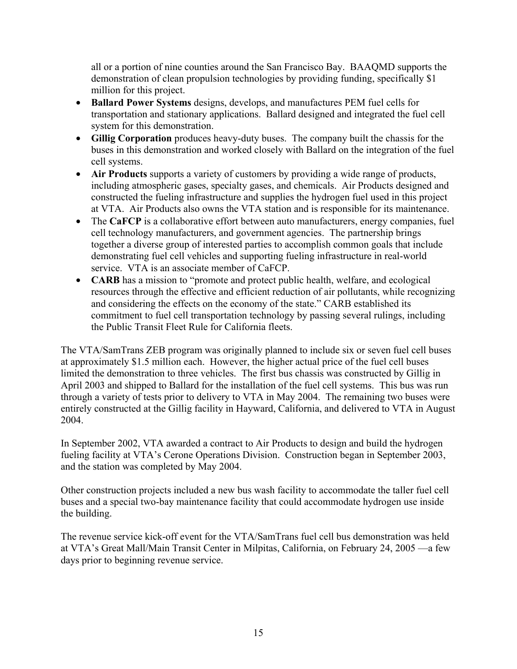all or a portion of nine counties around the San Francisco Bay. BAAQMD supports the demonstration of clean propulsion technologies by providing funding, specifically \$1 million for this project.

- **Ballard Power Systems** designs, develops, and manufactures PEM fuel cells for transportation and stationary applications. Ballard designed and integrated the fuel cell system for this demonstration.
- **Gillig Corporation** produces heavy-duty buses. The company built the chassis for the buses in this demonstration and worked closely with Ballard on the integration of the fuel cell systems.
- **Air Products** supports a variety of customers by providing a wide range of products, including atmospheric gases, specialty gases, and chemicals. Air Products designed and constructed the fueling infrastructure and supplies the hydrogen fuel used in this project at VTA. Air Products also owns the VTA station and is responsible for its maintenance.
- The **CaFCP** is a collaborative effort between auto manufacturers, energy companies, fuel cell technology manufacturers, and government agencies. The partnership brings together a diverse group of interested parties to accomplish common goals that include demonstrating fuel cell vehicles and supporting fueling infrastructure in real-world service. VTA is an associate member of CaFCP.
- **CARB** has a mission to "promote and protect public health, welfare, and ecological resources through the effective and efficient reduction of air pollutants, while recognizing and considering the effects on the economy of the state." CARB established its commitment to fuel cell transportation technology by passing several rulings, including the Public Transit Fleet Rule for California fleets.

The VTA/SamTrans ZEB program was originally planned to include six or seven fuel cell buses at approximately \$1.5 million each. However, the higher actual price of the fuel cell buses limited the demonstration to three vehicles. The first bus chassis was constructed by Gillig in April 2003 and shipped to Ballard for the installation of the fuel cell systems. This bus was run through a variety of tests prior to delivery to VTA in May 2004. The remaining two buses were entirely constructed at the Gillig facility in Hayward, California, and delivered to VTA in August 2004.

In September 2002, VTA awarded a contract to Air Products to design and build the hydrogen fueling facility at VTA's Cerone Operations Division. Construction began in September 2003, and the station was completed by May 2004.

Other construction projects included a new bus wash facility to accommodate the taller fuel cell buses and a special two-bay maintenance facility that could accommodate hydrogen use inside the building.

The revenue service kick-off event for the VTA/SamTrans fuel cell bus demonstration was held at VTA's Great Mall/Main Transit Center in Milpitas, California, on February 24, 2005 —a few days prior to beginning revenue service.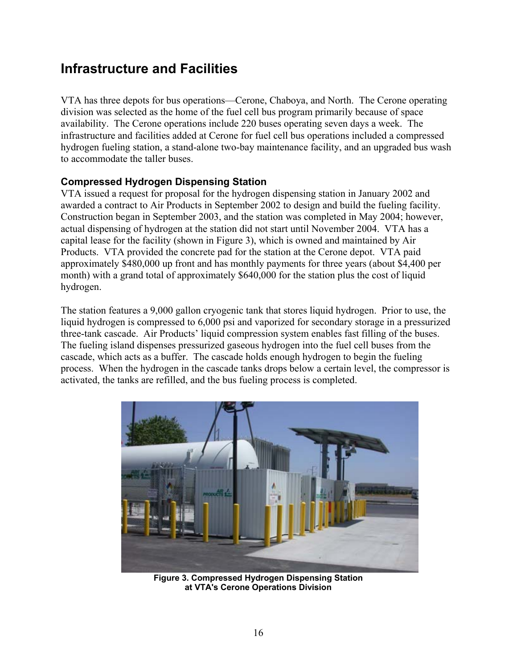## <span id="page-20-0"></span>**Infrastructure and Facilities**

VTA has three depots for bus operations—Cerone, Chaboya, and North. The Cerone operating division was selected as the home of the fuel cell bus program primarily because of space availability. The Cerone operations include 220 buses operating seven days a week. The infrastructure and facilities added at Cerone for fuel cell bus operations included a compressed hydrogen fueling station, a stand-alone two-bay maintenance facility, and an upgraded bus wash to accommodate the taller buses.

### **Compressed Hydrogen Dispensing Station**

VTA issued a request for proposal for the hydrogen dispensing station in January 2002 and awarded a contract to Air Products in September 2002 to design and build the fueling facility. Construction began in September 2003, and the station was completed in May 2004; however, actual dispensing of hydrogen at the station did not start until November 2004. VTA has a capital lease for the facility (shown in Figure 3), which is owned and maintained by Air Products. VTA provided the concrete pad for the station at the Cerone depot. VTA paid approximately \$480,000 up front and has monthly payments for three years (about \$4,400 per month) with a grand total of approximately \$640,000 for the station plus the cost of liquid hydrogen.

The station features a 9,000 gallon cryogenic tank that stores liquid hydrogen. Prior to use, the liquid hydrogen is compressed to 6,000 psi and vaporized for secondary storage in a pressurized three-tank cascade. Air Products' liquid compression system enables fast filling of the buses. The fueling island dispenses pressurized gaseous hydrogen into the fuel cell buses from the cascade, which acts as a buffer. The cascade holds enough hydrogen to begin the fueling process. When the hydrogen in the cascade tanks drops below a certain level, the compressor is activated, the tanks are refilled, and the bus fueling process is completed.



**Figure 3. Compressed Hydrogen Dispensing Station at VTA's Cerone Operations Division**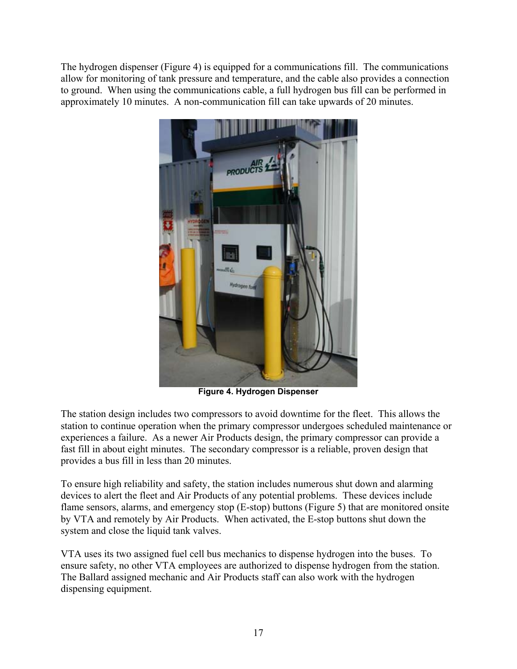The hydrogen dispenser (Figure 4) is equipped for a communications fill. The communications allow for monitoring of tank pressure and temperature, and the cable also provides a connection to ground. When using the communications cable, a full hydrogen bus fill can be performed in approximately 10 minutes. A non-communication fill can take upwards of 20 minutes.



**Figure 4. Hydrogen Dispenser** 

The station design includes two compressors to avoid downtime for the fleet. This allows the station to continue operation when the primary compressor undergoes scheduled maintenance or experiences a failure. As a newer Air Products design, the primary compressor can provide a fast fill in about eight minutes. The secondary compressor is a reliable, proven design that provides a bus fill in less than 20 minutes.

To ensure high reliability and safety, the station includes numerous shut down and alarming devices to alert the fleet and Air Products of any potential problems. These devices include flame sensors, alarms, and emergency stop (E-stop) buttons (Figure 5) that are monitored onsite by VTA and remotely by Air Products. When activated, the E-stop buttons shut down the system and close the liquid tank valves.

VTA uses its two assigned fuel cell bus mechanics to dispense hydrogen into the buses. To ensure safety, no other VTA employees are authorized to dispense hydrogen from the station. The Ballard assigned mechanic and Air Products staff can also work with the hydrogen dispensing equipment.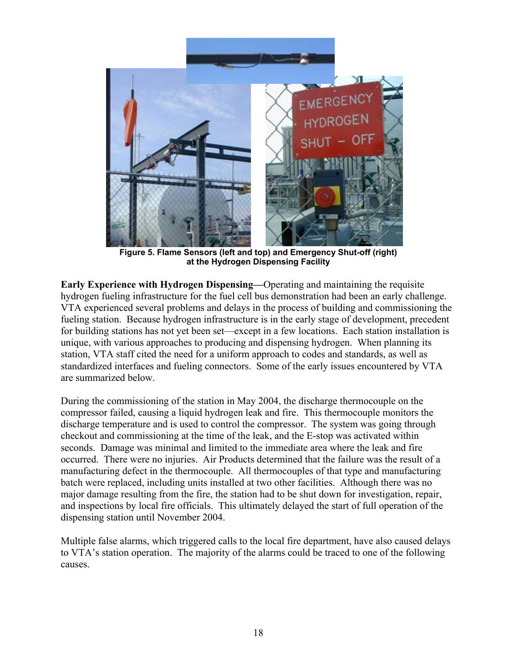

**Figure 5. Flame Sensors (left and top) and Emergency Shut-off (right) at the Hydrogen Dispensing Facility**

**Early Experience with Hydrogen Dispensing—**Operating and maintaining the requisite hydrogen fueling infrastructure for the fuel cell bus demonstration had been an early challenge. VTA experienced several problems and delays in the process of building and commissioning the fueling station. Because hydrogen infrastructure is in the early stage of development, precedent for building stations has not yet been set—except in a few locations. Each station installation is unique, with various approaches to producing and dispensing hydrogen. When planning its station, VTA staff cited the need for a uniform approach to codes and standards, as well as standardized interfaces and fueling connectors. Some of the early issues encountered by VTA are summarized below.

During the commissioning of the station in May 2004, the discharge thermocouple on the compressor failed, causing a liquid hydrogen leak and fire. This thermocouple monitors the discharge temperature and is used to control the compressor. The system was going through checkout and commissioning at the time of the leak, and the E-stop was activated within seconds. Damage was minimal and limited to the immediate area where the leak and fire occurred. There were no injuries. Air Products determined that the failure was the result of a manufacturing defect in the thermocouple. All thermocouples of that type and manufacturing batch were replaced, including units installed at two other facilities. Although there was no major damage resulting from the fire, the station had to be shut down for investigation, repair, and inspections by local fire officials. This ultimately delayed the start of full operation of the dispensing station until November 2004.

Multiple false alarms, which triggered calls to the local fire department, have also caused delays to VTA's station operation. The majority of the alarms could be traced to one of the following causes.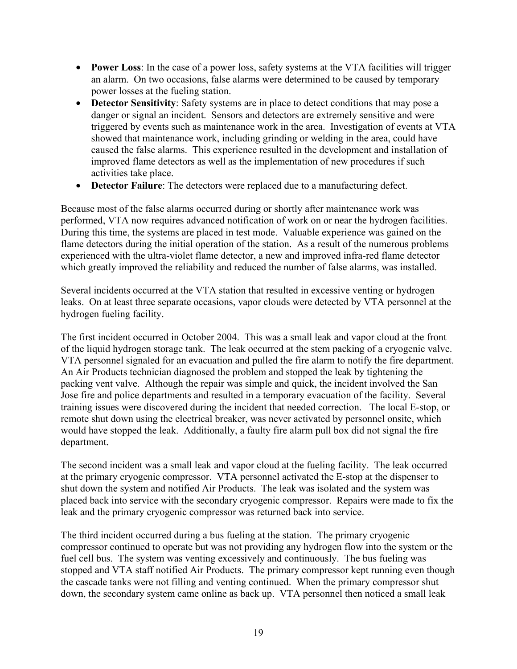- **Power Loss**: In the case of a power loss, safety systems at the VTA facilities will trigger an alarm. On two occasions, false alarms were determined to be caused by temporary power losses at the fueling station.
- **Detector Sensitivity**: Safety systems are in place to detect conditions that may pose a danger or signal an incident. Sensors and detectors are extremely sensitive and were triggered by events such as maintenance work in the area. Investigation of events at VTA showed that maintenance work, including grinding or welding in the area, could have caused the false alarms. This experience resulted in the development and installation of improved flame detectors as well as the implementation of new procedures if such activities take place.
- **Detector Failure**: The detectors were replaced due to a manufacturing defect.

Because most of the false alarms occurred during or shortly after maintenance work was performed, VTA now requires advanced notification of work on or near the hydrogen facilities. During this time, the systems are placed in test mode. Valuable experience was gained on the flame detectors during the initial operation of the station. As a result of the numerous problems experienced with the ultra-violet flame detector, a new and improved infra-red flame detector which greatly improved the reliability and reduced the number of false alarms, was installed.

Several incidents occurred at the VTA station that resulted in excessive venting or hydrogen leaks. On at least three separate occasions, vapor clouds were detected by VTA personnel at the hydrogen fueling facility.

The first incident occurred in October 2004. This was a small leak and vapor cloud at the front of the liquid hydrogen storage tank. The leak occurred at the stem packing of a cryogenic valve. VTA personnel signaled for an evacuation and pulled the fire alarm to notify the fire department. An Air Products technician diagnosed the problem and stopped the leak by tightening the packing vent valve. Although the repair was simple and quick, the incident involved the San Jose fire and police departments and resulted in a temporary evacuation of the facility. Several training issues were discovered during the incident that needed correction. The local E-stop, or remote shut down using the electrical breaker, was never activated by personnel onsite, which would have stopped the leak. Additionally, a faulty fire alarm pull box did not signal the fire department.

The second incident was a small leak and vapor cloud at the fueling facility. The leak occurred at the primary cryogenic compressor. VTA personnel activated the E-stop at the dispenser to shut down the system and notified Air Products. The leak was isolated and the system was placed back into service with the secondary cryogenic compressor. Repairs were made to fix the leak and the primary cryogenic compressor was returned back into service.

The third incident occurred during a bus fueling at the station. The primary cryogenic compressor continued to operate but was not providing any hydrogen flow into the system or the fuel cell bus. The system was venting excessively and continuously. The bus fueling was stopped and VTA staff notified Air Products. The primary compressor kept running even though the cascade tanks were not filling and venting continued. When the primary compressor shut down, the secondary system came online as back up. VTA personnel then noticed a small leak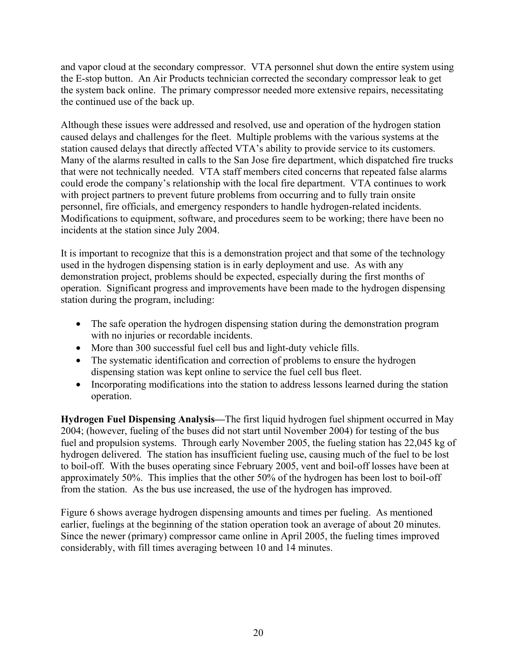and vapor cloud at the secondary compressor. VTA personnel shut down the entire system using the E-stop button. An Air Products technician corrected the secondary compressor leak to get the system back online. The primary compressor needed more extensive repairs, necessitating the continued use of the back up.

Although these issues were addressed and resolved, use and operation of the hydrogen station caused delays and challenges for the fleet. Multiple problems with the various systems at the station caused delays that directly affected VTA's ability to provide service to its customers. Many of the alarms resulted in calls to the San Jose fire department, which dispatched fire trucks that were not technically needed. VTA staff members cited concerns that repeated false alarms could erode the company's relationship with the local fire department. VTA continues to work with project partners to prevent future problems from occurring and to fully train onsite personnel, fire officials, and emergency responders to handle hydrogen-related incidents. Modifications to equipment, software, and procedures seem to be working; there have been no incidents at the station since July 2004.

It is important to recognize that this is a demonstration project and that some of the technology used in the hydrogen dispensing station is in early deployment and use. As with any demonstration project, problems should be expected, especially during the first months of operation. Significant progress and improvements have been made to the hydrogen dispensing station during the program, including:

- The safe operation the hydrogen dispensing station during the demonstration program with no injuries or recordable incidents.
- More than 300 successful fuel cell bus and light-duty vehicle fills.
- The systematic identification and correction of problems to ensure the hydrogen dispensing station was kept online to service the fuel cell bus fleet.
- Incorporating modifications into the station to address lessons learned during the station operation.

**Hydrogen Fuel Dispensing Analysis—**The first liquid hydrogen fuel shipment occurred in May 2004; (however, fueling of the buses did not start until November 2004) for testing of the bus fuel and propulsion systems. Through early November 2005, the fueling station has 22,045 kg of hydrogen delivered. The station has insufficient fueling use, causing much of the fuel to be lost to boil-off. With the buses operating since February 2005, vent and boil-off losses have been at approximately 50%. This implies that the other 50% of the hydrogen has been lost to boil-off from the station. As the bus use increased, the use of the hydrogen has improved.

Figure 6 shows average hydrogen dispensing amounts and times per fueling. As mentioned earlier, fuelings at the beginning of the station operation took an average of about 20 minutes. Since the newer (primary) compressor came online in April 2005, the fueling times improved considerably, with fill times averaging between 10 and 14 minutes.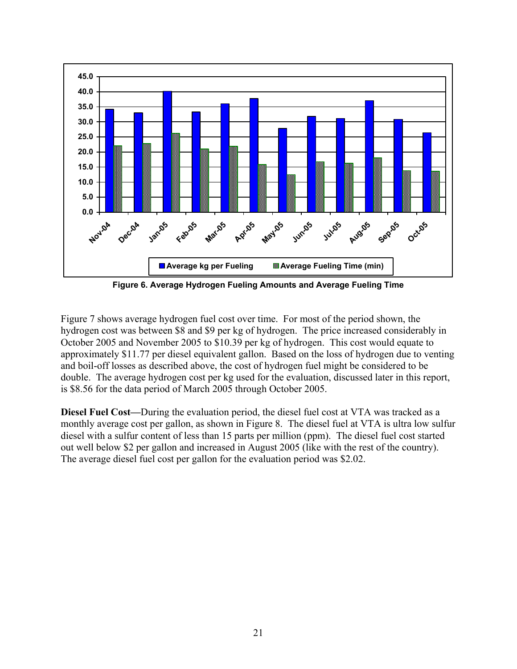

**Figure 6. Average Hydrogen Fueling Amounts and Average Fueling Time** 

Figure 7 shows average hydrogen fuel cost over time. For most of the period shown, the hydrogen cost was between \$8 and \$9 per kg of hydrogen. The price increased considerably in October 2005 and November 2005 to \$10.39 per kg of hydrogen. This cost would equate to approximately \$11.77 per diesel equivalent gallon. Based on the loss of hydrogen due to venting and boil-off losses as described above, the cost of hydrogen fuel might be considered to be double. The average hydrogen cost per kg used for the evaluation, discussed later in this report, is \$8.56 for the data period of March 2005 through October 2005.

**Diesel Fuel Cost—**During the evaluation period, the diesel fuel cost at VTA was tracked as a monthly average cost per gallon, as shown in Figure 8. The diesel fuel at VTA is ultra low sulfur diesel with a sulfur content of less than 15 parts per million (ppm). The diesel fuel cost started out well below \$2 per gallon and increased in August 2005 (like with the rest of the country). The average diesel fuel cost per gallon for the evaluation period was \$2.02.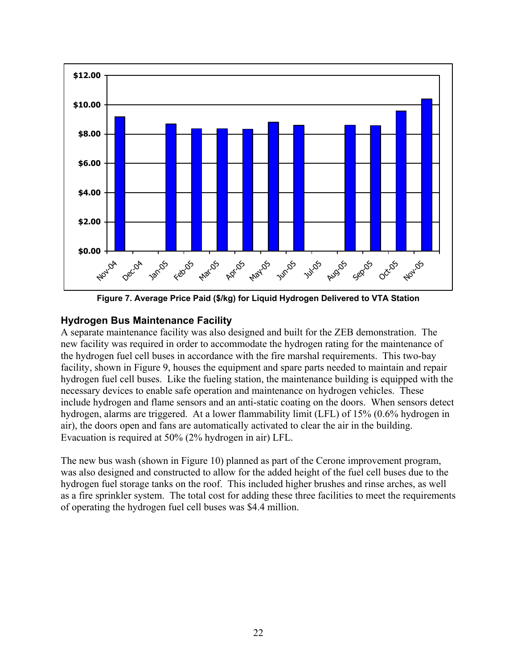<span id="page-26-0"></span>

**Figure 7. Average Price Paid (\$/kg) for Liquid Hydrogen Delivered to VTA Station** 

### **Hydrogen Bus Maintenance Facility**

A separate maintenance facility was also designed and built for the ZEB demonstration. The new facility was required in order to accommodate the hydrogen rating for the maintenance of the hydrogen fuel cell buses in accordance with the fire marshal requirements. This two-bay facility, shown in Figure 9, houses the equipment and spare parts needed to maintain and repair hydrogen fuel cell buses. Like the fueling station, the maintenance building is equipped with the necessary devices to enable safe operation and maintenance on hydrogen vehicles. These include hydrogen and flame sensors and an anti-static coating on the doors. When sensors detect hydrogen, alarms are triggered. At a lower flammability limit (LFL) of 15% (0.6% hydrogen in air), the doors open and fans are automatically activated to clear the air in the building. Evacuation is required at 50% (2% hydrogen in air) LFL.

The new bus wash (shown in Figure 10) planned as part of the Cerone improvement program, was also designed and constructed to allow for the added height of the fuel cell buses due to the hydrogen fuel storage tanks on the roof. This included higher brushes and rinse arches, as well as a fire sprinkler system. The total cost for adding these three facilities to meet the requirements of operating the hydrogen fuel cell buses was \$4.4 million.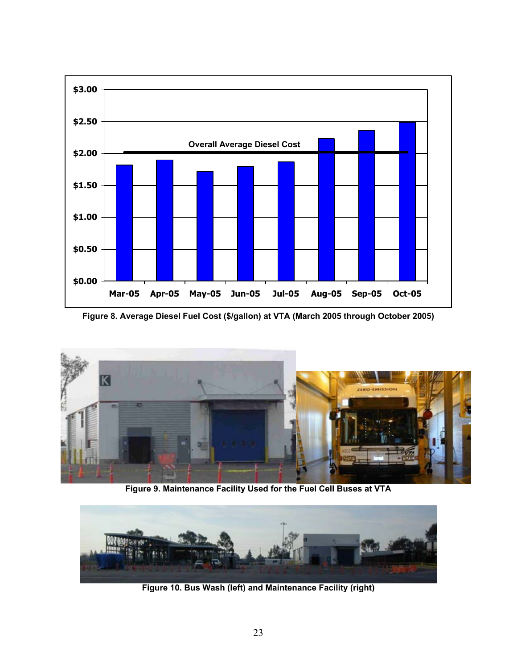

**Figure 8. Average Diesel Fuel Cost (\$/gallon) at VTA (March 2005 through October 2005)** 



**Figure 9. Maintenance Facility Used for the Fuel Cell Buses at VTA** 



**Figure 10. Bus Wash (left) and Maintenance Facility (right)**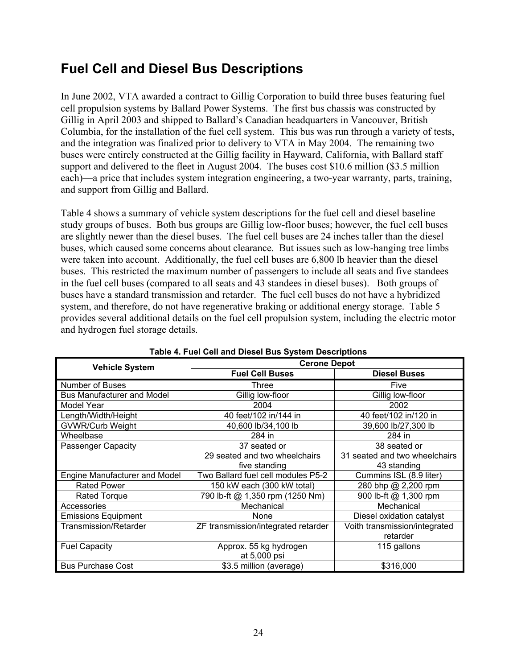# <span id="page-28-0"></span>**Fuel Cell and Diesel Bus Descriptions**

In June 2002, VTA awarded a contract to Gillig Corporation to build three buses featuring fuel cell propulsion systems by Ballard Power Systems. The first bus chassis was constructed by Gillig in April 2003 and shipped to Ballard's Canadian headquarters in Vancouver, British Columbia, for the installation of the fuel cell system. This bus was run through a variety of tests, and the integration was finalized prior to delivery to VTA in May 2004. The remaining two buses were entirely constructed at the Gillig facility in Hayward, California, with Ballard staff support and delivered to the fleet in August 2004. The buses cost \$10.6 million (\$3.5 million) each)—a price that includes system integration engineering, a two-year warranty, parts, training, and support from Gillig and Ballard.

Table 4 shows a summary of vehicle system descriptions for the fuel cell and diesel baseline study groups of buses. Both bus groups are Gillig low-floor buses; however, the fuel cell buses are slightly newer than the diesel buses. The fuel cell buses are 24 inches taller than the diesel buses, which caused some concerns about clearance. But issues such as low-hanging tree limbs were taken into account. Additionally, the fuel cell buses are 6,800 lb heavier than the diesel buses. This restricted the maximum number of passengers to include all seats and five standees in the fuel cell buses (compared to all seats and 43 standees in diesel buses). Both groups of buses have a standard transmission and retarder. The fuel cell buses do not have a hybridized system, and therefore, do not have regenerative braking or additional energy storage. Table 5 provides several additional details on the fuel cell propulsion system, including the electric motor and hydrogen fuel storage details.

| <b>Vehicle System</b>             | <b>Cerone Depot</b>                 |                               |  |  |
|-----------------------------------|-------------------------------------|-------------------------------|--|--|
|                                   | <b>Fuel Cell Buses</b>              | <b>Diesel Buses</b>           |  |  |
| Number of Buses                   | Three                               | Five                          |  |  |
| <b>Bus Manufacturer and Model</b> | Gillig low-floor                    | Gillig low-floor              |  |  |
| Model Year                        | 2004                                | 2002                          |  |  |
| Length/Width/Height               | 40 feet/102 in/144 in               | 40 feet/102 in/120 in         |  |  |
| <b>GVWR/Curb Weight</b>           | 40,600 lb/34,100 lb                 | 39,600 lb/27,300 lb           |  |  |
| Wheelbase                         | 284 in                              | 284 in                        |  |  |
| Passenger Capacity                | 37 seated or                        | 38 seated or                  |  |  |
|                                   | 29 seated and two wheelchairs       | 31 seated and two wheelchairs |  |  |
|                                   | five standing                       | 43 standing                   |  |  |
| Engine Manufacturer and Model     | Two Ballard fuel cell modules P5-2  | Cummins ISL (8.9 liter)       |  |  |
| <b>Rated Power</b>                | 150 kW each (300 kW total)          | 280 bhp @ 2,200 rpm           |  |  |
| <b>Rated Torque</b>               | 790 lb-ft @ 1,350 rpm (1250 Nm)     | 900 lb-ft @ 1,300 rpm         |  |  |
| Accessories                       | Mechanical                          | Mechanical                    |  |  |
| <b>Emissions Equipment</b>        | None                                | Diesel oxidation catalyst     |  |  |
| <b>Transmission/Retarder</b>      | ZF transmission/integrated retarder | Voith transmission/integrated |  |  |
|                                   |                                     | retarder                      |  |  |
| <b>Fuel Capacity</b>              | Approx. 55 kg hydrogen              | 115 gallons                   |  |  |
|                                   | at 5,000 psi                        |                               |  |  |
| <b>Bus Purchase Cost</b>          | \$3.5 million (average)             | \$316,000                     |  |  |

| Table 4. Fuel Cell and Diesel Bus System Descriptions |  |
|-------------------------------------------------------|--|
|-------------------------------------------------------|--|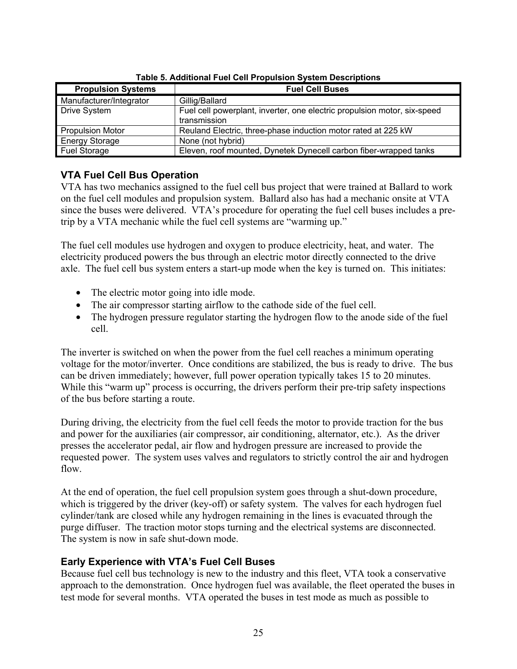<span id="page-29-0"></span>

| <b>Propulsion Systems</b> | <b>Fuel Cell Buses</b>                                                                   |  |  |  |
|---------------------------|------------------------------------------------------------------------------------------|--|--|--|
| Manufacturer/Integrator   | Gillig/Ballard                                                                           |  |  |  |
| <b>Drive System</b>       | Fuel cell powerplant, inverter, one electric propulsion motor, six-speed<br>transmission |  |  |  |
| <b>Propulsion Motor</b>   | Reuland Electric, three-phase induction motor rated at 225 kW                            |  |  |  |
| <b>Energy Storage</b>     | None (not hybrid)                                                                        |  |  |  |
| Fuel Storage              | Eleven, roof mounted, Dynetek Dynecell carbon fiber-wrapped tanks                        |  |  |  |

**Table 5. Additional Fuel Cell Propulsion System Descriptions** 

### **VTA Fuel Cell Bus Operation**

VTA has two mechanics assigned to the fuel cell bus project that were trained at Ballard to work on the fuel cell modules and propulsion system. Ballard also has had a mechanic onsite at VTA since the buses were delivered. VTA's procedure for operating the fuel cell buses includes a pretrip by a VTA mechanic while the fuel cell systems are "warming up."

The fuel cell modules use hydrogen and oxygen to produce electricity, heat, and water. The electricity produced powers the bus through an electric motor directly connected to the drive axle. The fuel cell bus system enters a start-up mode when the key is turned on. This initiates:

- The electric motor going into idle mode.
- The air compressor starting airflow to the cathode side of the fuel cell.
- The hydrogen pressure regulator starting the hydrogen flow to the anode side of the fuel cell.

The inverter is switched on when the power from the fuel cell reaches a minimum operating voltage for the motor/inverter. Once conditions are stabilized, the bus is ready to drive. The bus can be driven immediately; however, full power operation typically takes 15 to 20 minutes. While this "warm up" process is occurring, the drivers perform their pre-trip safety inspections of the bus before starting a route.

During driving, the electricity from the fuel cell feeds the motor to provide traction for the bus and power for the auxiliaries (air compressor, air conditioning, alternator, etc.). As the driver presses the accelerator pedal, air flow and hydrogen pressure are increased to provide the requested power. The system uses valves and regulators to strictly control the air and hydrogen flow.

At the end of operation, the fuel cell propulsion system goes through a shut-down procedure, which is triggered by the driver (key-off) or safety system. The valves for each hydrogen fuel cylinder/tank are closed while any hydrogen remaining in the lines is evacuated through the purge diffuser. The traction motor stops turning and the electrical systems are disconnected. The system is now in safe shut-down mode.

### **Early Experience with VTA's Fuel Cell Buses**

Because fuel cell bus technology is new to the industry and this fleet, VTA took a conservative approach to the demonstration. Once hydrogen fuel was available, the fleet operated the buses in test mode for several months. VTA operated the buses in test mode as much as possible to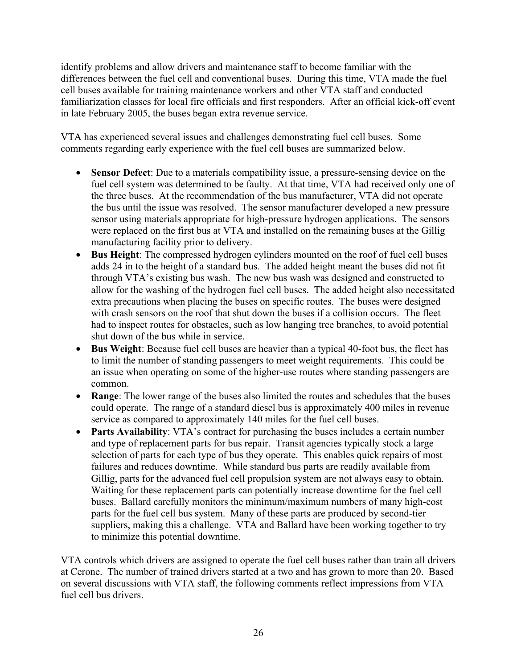identify problems and allow drivers and maintenance staff to become familiar with the differences between the fuel cell and conventional buses. During this time, VTA made the fuel cell buses available for training maintenance workers and other VTA staff and conducted familiarization classes for local fire officials and first responders. After an official kick-off event in late February 2005, the buses began extra revenue service.

VTA has experienced several issues and challenges demonstrating fuel cell buses. Some comments regarding early experience with the fuel cell buses are summarized below.

- **Sensor Defect**: Due to a materials compatibility issue, a pressure-sensing device on the fuel cell system was determined to be faulty. At that time, VTA had received only one of the three buses. At the recommendation of the bus manufacturer, VTA did not operate the bus until the issue was resolved. The sensor manufacturer developed a new pressure sensor using materials appropriate for high-pressure hydrogen applications. The sensors were replaced on the first bus at VTA and installed on the remaining buses at the Gillig manufacturing facility prior to delivery.
- **Bus Height**: The compressed hydrogen cylinders mounted on the roof of fuel cell buses adds 24 in to the height of a standard bus. The added height meant the buses did not fit through VTA's existing bus wash. The new bus wash was designed and constructed to allow for the washing of the hydrogen fuel cell buses. The added height also necessitated extra precautions when placing the buses on specific routes. The buses were designed with crash sensors on the roof that shut down the buses if a collision occurs. The fleet had to inspect routes for obstacles, such as low hanging tree branches, to avoid potential shut down of the bus while in service.
- **Bus Weight**: Because fuel cell buses are heavier than a typical 40-foot bus, the fleet has to limit the number of standing passengers to meet weight requirements. This could be an issue when operating on some of the higher-use routes where standing passengers are common.
- **Range**: The lower range of the buses also limited the routes and schedules that the buses could operate. The range of a standard diesel bus is approximately 400 miles in revenue service as compared to approximately 140 miles for the fuel cell buses.
- **Parts Availability**: VTA's contract for purchasing the buses includes a certain number and type of replacement parts for bus repair. Transit agencies typically stock a large selection of parts for each type of bus they operate. This enables quick repairs of most failures and reduces downtime. While standard bus parts are readily available from Gillig, parts for the advanced fuel cell propulsion system are not always easy to obtain. Waiting for these replacement parts can potentially increase downtime for the fuel cell buses. Ballard carefully monitors the minimum/maximum numbers of many high-cost parts for the fuel cell bus system. Many of these parts are produced by second-tier suppliers, making this a challenge. VTA and Ballard have been working together to try to minimize this potential downtime.

VTA controls which drivers are assigned to operate the fuel cell buses rather than train all drivers at Cerone. The number of trained drivers started at a two and has grown to more than 20. Based on several discussions with VTA staff, the following comments reflect impressions from VTA fuel cell bus drivers.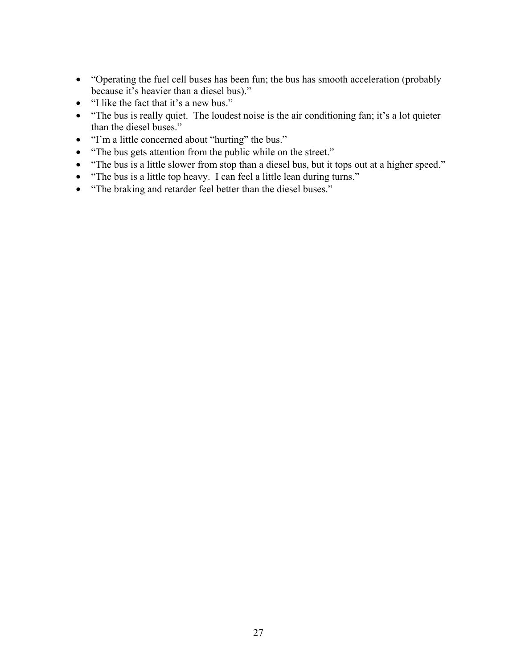- "Operating the fuel cell buses has been fun; the bus has smooth acceleration (probably because it's heavier than a diesel bus)."
- "I like the fact that it's a new bus."
- "The bus is really quiet. The loudest noise is the air conditioning fan; it's a lot quieter than the diesel buses."
- "I'm a little concerned about "hurting" the bus."
- "The bus gets attention from the public while on the street."
- "The bus is a little slower from stop than a diesel bus, but it tops out at a higher speed."
- "The bus is a little top heavy. I can feel a little lean during turns."
- "The braking and retarder feel better than the diesel buses."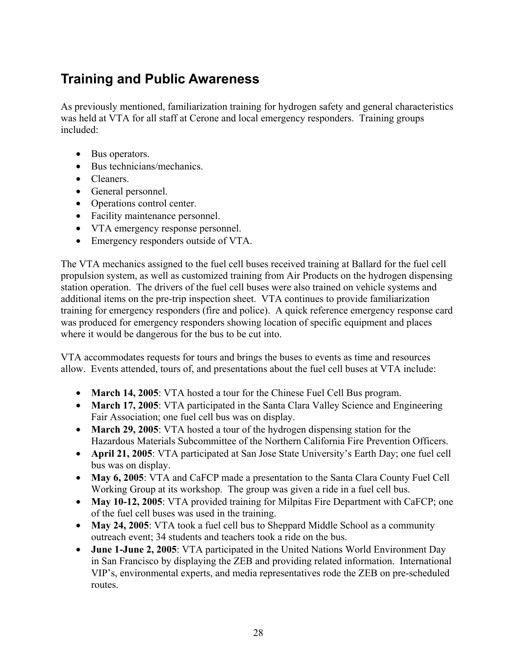# <span id="page-32-0"></span>**Training and Public Awareness**

As previously mentioned, familiarization training for hydrogen safety and general characteristics was held at VTA for all staff at Cerone and local emergency responders. Training groups included:

- Bus operators.
- Bus technicians/mechanics.
- Cleaners.
- General personnel.
- Operations control center.
- Facility maintenance personnel.
- VTA emergency response personnel.
- Emergency responders outside of VTA.

The VTA mechanics assigned to the fuel cell buses received training at Ballard for the fuel cell propulsion system, as well as customized training from Air Products on the hydrogen dispensing station operation. The drivers of the fuel cell buses were also trained on vehicle systems and additional items on the pre-trip inspection sheet. VTA continues to provide familiarization training for emergency responders (fire and police). A quick reference emergency response card was produced for emergency responders showing location of specific equipment and places where it would be dangerous for the bus to be cut into.

VTA accommodates requests for tours and brings the buses to events as time and resources allow. Events attended, tours of, and presentations about the fuel cell buses at VTA include:

- **March 14, 2005**: VTA hosted a tour for the Chinese Fuel Cell Bus program.
- **March 17, 2005**: VTA participated in the Santa Clara Valley Science and Engineering Fair Association; one fuel cell bus was on display.
- **March 29, 2005**: VTA hosted a tour of the hydrogen dispensing station for the Hazardous Materials Subcommittee of the Northern California Fire Prevention Officers.
- **April 21, 2005**: VTA participated at San Jose State University's Earth Day; one fuel cell bus was on display.
- May 6, 2005: VTA and CaFCP made a presentation to the Santa Clara County Fuel Cell Working Group at its workshop. The group was given a ride in a fuel cell bus.
- **May 10-12, 2005**: VTA provided training for Milpitas Fire Department with CaFCP; one of the fuel cell buses was used in the training.
- **May 24, 2005**: VTA took a fuel cell bus to Sheppard Middle School as a community outreach event; 34 students and teachers took a ride on the bus.
- **June 1-June 2, 2005**: VTA participated in the United Nations World Environment Day in San Francisco by displaying the ZEB and providing related information. International VIP's, environmental experts, and media representatives rode the ZEB on pre-scheduled routes.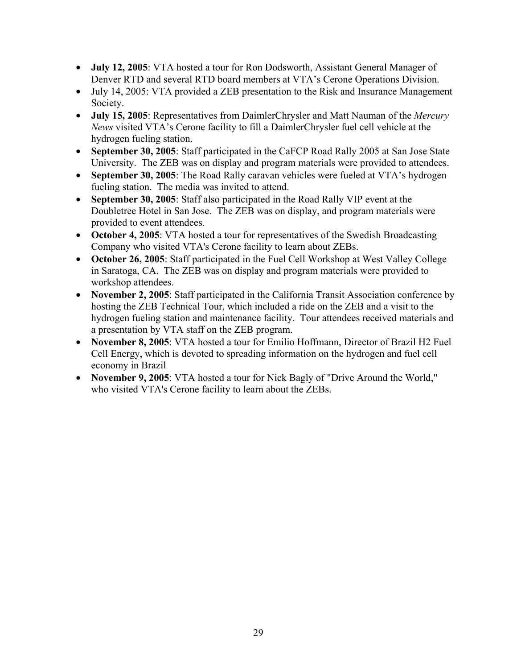- **July 12, 2005**: VTA hosted a tour for Ron Dodsworth, Assistant General Manager of Denver RTD and several RTD board members at VTA's Cerone Operations Division.
- July 14, 2005: VTA provided a ZEB presentation to the Risk and Insurance Management Society.
- **July 15, 2005**: Representatives from DaimlerChrysler and Matt Nauman of the *Mercury News* visited VTA's Cerone facility to fill a DaimlerChrysler fuel cell vehicle at the hydrogen fueling station.
- **September 30, 2005**: Staff participated in the CaFCP Road Rally 2005 at San Jose State University. The ZEB was on display and program materials were provided to attendees.
- **September 30, 2005**: The Road Rally caravan vehicles were fueled at VTA's hydrogen fueling station. The media was invited to attend.
- **September 30, 2005**: Staff also participated in the Road Rally VIP event at the Doubletree Hotel in San Jose. The ZEB was on display, and program materials were provided to event attendees.
- **October 4, 2005**: VTA hosted a tour for representatives of the Swedish Broadcasting Company who visited VTA's Cerone facility to learn about ZEBs.
- **October 26, 2005**: Staff participated in the Fuel Cell Workshop at West Valley College in Saratoga, CA. The ZEB was on display and program materials were provided to workshop attendees.
- **November 2, 2005**: Staff participated in the California Transit Association conference by hosting the ZEB Technical Tour, which included a ride on the ZEB and a visit to the hydrogen fueling station and maintenance facility. Tour attendees received materials and a presentation by VTA staff on the ZEB program.
- **November 8, 2005**: VTA hosted a tour for Emilio Hoffmann, Director of Brazil H2 Fuel Cell Energy, which is devoted to spreading information on the hydrogen and fuel cell economy in Brazil
- **November 9, 2005**: VTA hosted a tour for Nick Bagly of "Drive Around the World," who visited VTA's Cerone facility to learn about the ZEBs.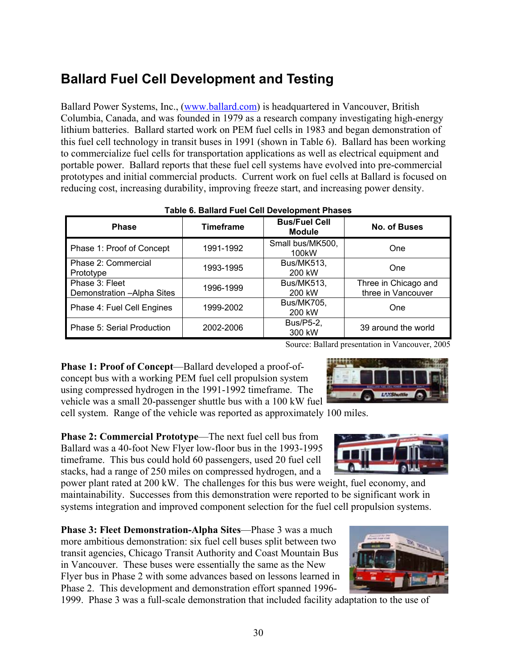# <span id="page-34-0"></span>**Ballard Fuel Cell Development and Testing**

Ballard Power Systems, Inc., [\(www.ballard.com](http://www.ballard.com/)) is headquartered in Vancouver, British Columbia, Canada, and was founded in 1979 as a research company investigating high-energy lithium batteries. Ballard started work on PEM fuel cells in 1983 and began demonstration of this fuel cell technology in transit buses in 1991 (shown in Table 6). Ballard has been working to commercialize fuel cells for transportation applications as well as electrical equipment and portable power. Ballard reports that these fuel cell systems have evolved into pre-commercial prototypes and initial commercial products. Current work on fuel cells at Ballard is focused on reducing cost, increasing durability, improving freeze start, and increasing power density.

| , apic e, banara r aor con bovolopinont r naoco |                                                           |                                        |                                            |  |  |  |
|-------------------------------------------------|-----------------------------------------------------------|----------------------------------------|--------------------------------------------|--|--|--|
| <b>Phase</b>                                    | <b>Bus/Fuel Cell</b><br><b>Timeframe</b><br><b>Module</b> |                                        | <b>No. of Buses</b>                        |  |  |  |
| Phase 1: Proof of Concept                       | 1991-1992                                                 | Small bus/MK500,<br>100 <sub>k</sub> W | One                                        |  |  |  |
| Phase 2: Commercial<br>Prototype                | 1993-1995                                                 | <b>Bus/MK513,</b><br>200 kW            | One                                        |  |  |  |
| Phase 3: Fleet<br>Demonstration - Alpha Sites   | 1996-1999                                                 | <b>Bus/MK513,</b><br>200 kW            | Three in Chicago and<br>three in Vancouver |  |  |  |
| Phase 4: Fuel Cell Engines                      | 1999-2002                                                 | <b>Bus/MK705,</b><br>200 kW            | One                                        |  |  |  |
| Phase 5: Serial Production                      | 2002-2006                                                 | Bus/P5-2,<br>300 kW                    | 39 around the world                        |  |  |  |

#### **Table 6. Ballard Fuel Cell Development Phases**

Source: Ballard presentation in Vancouver, 2005

**Phase 1: Proof of Concept**—Ballard developed a proof-ofconcept bus with a working PEM fuel cell propulsion system using compressed hydrogen in the 1991-1992 timeframe. The vehicle was a small 20-passenger shuttle bus with a 100 kW fuel cell system. Range of the vehicle was reported as approximately 100 miles.

**Phase 2: Commercial Prototype—The next fuel cell bus from** Ballard was a 40-foot New Flyer low-floor bus in the 1993-1995 timeframe. This bus could hold 60 passengers, used 20 fuel cell stacks, had a range of 250 miles on compressed hydrogen, and a

power plant rated at 200 kW. The challenges for this bus were weight, fuel economy, and maintainability. Successes from this demonstration were reported to be significant work in systems integration and improved component selection for the fuel cell propulsion systems.

**Phase 3: Fleet Demonstration-Alpha Sites**—Phase 3 was a much more ambitious demonstration: six fuel cell buses split between two transit agencies, Chicago Transit Authority and Coast Mountain Bus in Vancouver. These buses were essentially the same as the New Flyer bus in Phase 2 with some advances based on lessons learned in Phase 2. This development and demonstration effort spanned 1996-

1999. Phase 3 was a full-scale demonstration that included facility adaptation to the use of



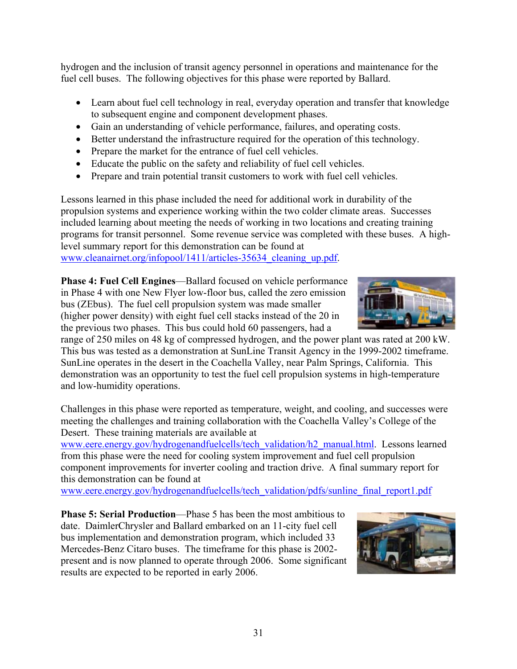hydrogen and the inclusion of transit agency personnel in operations and maintenance for the fuel cell buses. The following objectives for this phase were reported by Ballard.

- Learn about fuel cell technology in real, everyday operation and transfer that knowledge to subsequent engine and component development phases.
- Gain an understanding of vehicle performance, failures, and operating costs.
- Better understand the infrastructure required for the operation of this technology.
- Prepare the market for the entrance of fuel cell vehicles.
- Educate the public on the safety and reliability of fuel cell vehicles.
- Prepare and train potential transit customers to work with fuel cell vehicles.

Lessons learned in this phase included the need for additional work in durability of the propulsion systems and experience working within the two colder climate areas. Successes included learning about meeting the needs of working in two locations and creating training programs for transit personnel. Some revenue service was completed with these buses. A highlevel summary report for this demonstration can be found at www.cleanairnet.org/infopool/1411/articles-35634 cleaning up.pdf.

**Phase 4: Fuel Cell Engines**—Ballard focused on vehicle performance in Phase 4 with one New Flyer low-floor bus, called the zero emission bus (ZEbus). The fuel cell propulsion system was made smaller (higher power density) with eight fuel cell stacks instead of the 20 in the previous two phases. This bus could hold 60 passengers, had a

range of 250 miles on 48 kg of compressed hydrogen, and the power plant was rated at 200 kW. This bus was tested as a demonstration at SunLine Transit Agency in the 1999-2002 timeframe. SunLine operates in the desert in the Coachella Valley, near Palm Springs, California. This demonstration was an opportunity to test the fuel cell propulsion systems in high-temperature and low-humidity operations.

Challenges in this phase were reported as temperature, weight, and cooling, and successes were meeting the challenges and training collaboration with the Coachella Valley's College of the Desert. These training materials are available at

[www.eere.energy.gov/hydrogenandfuelcells/tech\\_validation/h2\\_manual.html](http://www.eere.energy.gov/hydrogenandfuelcells/tech_validation/h2_manual.html). Lessons learned from this phase were the need for cooling system improvement and fuel cell propulsion component improvements for inverter cooling and traction drive. A final summary report for this demonstration can be found at

[www.eere.energy.gov/hydrogenandfuelcells/tech\\_validation/pdfs/sunline\\_final\\_report1.pdf](http://www.eere.energy.gov/hydrogenandfuelcells/tech_validation/pdfs/sunline_final_report1.pdf)

**Phase 5: Serial Production**—Phase 5 has been the most ambitious to date. DaimlerChrysler and Ballard embarked on an 11-city fuel cell bus implementation and demonstration program, which included 33 Mercedes-Benz Citaro buses. The timeframe for this phase is 2002 present and is now planned to operate through 2006. Some significant results are expected to be reported in early 2006.



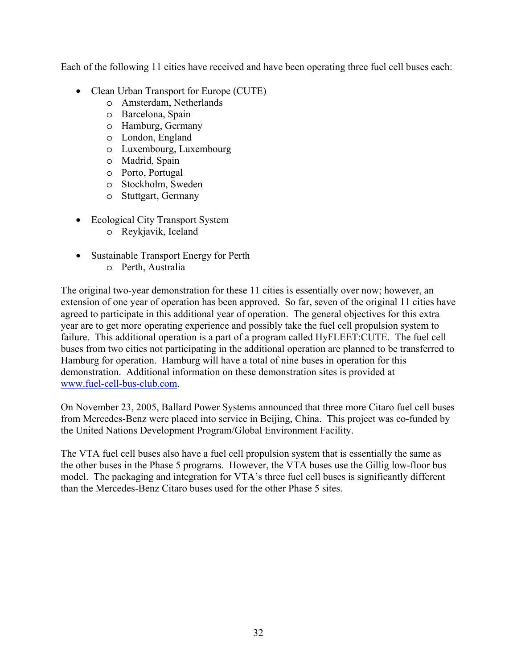Each of the following 11 cities have received and have been operating three fuel cell buses each:

- Clean Urban Transport for Europe (CUTE)
	- o Amsterdam, Netherlands
	- o Barcelona, Spain
	- o Hamburg, Germany
	- o London, England
	- o Luxembourg, Luxembourg
	- o Madrid, Spain
	- o Porto, Portugal
	- o Stockholm, Sweden
	- o Stuttgart, Germany
- Ecological City Transport System
	- o Reykjavik, Iceland
- Sustainable Transport Energy for Perth
	- o Perth, Australia

The original two-year demonstration for these 11 cities is essentially over now; however, an extension of one year of operation has been approved. So far, seven of the original 11 cities have agreed to participate in this additional year of operation. The general objectives for this extra year are to get more operating experience and possibly take the fuel cell propulsion system to failure. This additional operation is a part of a program called HyFLEET:CUTE. The fuel cell buses from two cities not participating in the additional operation are planned to be transferred to Hamburg for operation. Hamburg will have a total of nine buses in operation for this demonstration. Additional information on these demonstration sites is provided at [www.fuel-cell-bus-club.com.](http://www.fuel-cell-bus-club.com/)

On November 23, 2005, Ballard Power Systems announced that three more Citaro fuel cell buses from Mercedes-Benz were placed into service in Beijing, China. This project was co-funded by the United Nations Development Program/Global Environment Facility.

The VTA fuel cell buses also have a fuel cell propulsion system that is essentially the same as the other buses in the Phase 5 programs. However, the VTA buses use the Gillig low-floor bus model. The packaging and integration for VTA's three fuel cell buses is significantly different than the Mercedes-Benz Citaro buses used for the other Phase 5 sites.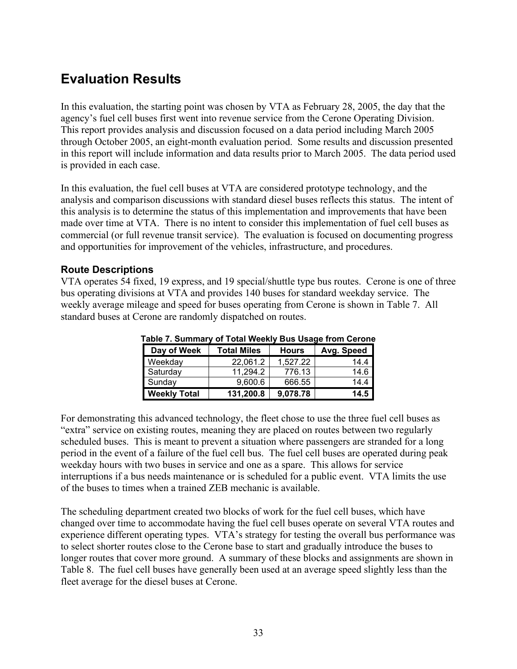# <span id="page-37-0"></span>**Evaluation Results**

In this evaluation, the starting point was chosen by VTA as February 28, 2005, the day that the agency's fuel cell buses first went into revenue service from the Cerone Operating Division. This report provides analysis and discussion focused on a data period including March 2005 through October 2005, an eight-month evaluation period. Some results and discussion presented in this report will include information and data results prior to March 2005. The data period used is provided in each case.

In this evaluation, the fuel cell buses at VTA are considered prototype technology, and the analysis and comparison discussions with standard diesel buses reflects this status. The intent of this analysis is to determine the status of this implementation and improvements that have been made over time at VTA. There is no intent to consider this implementation of fuel cell buses as commercial (or full revenue transit service). The evaluation is focused on documenting progress and opportunities for improvement of the vehicles, infrastructure, and procedures.

### **Route Descriptions**

VTA operates 54 fixed, 19 express, and 19 special/shuttle type bus routes. Cerone is one of three bus operating divisions at VTA and provides 140 buses for standard weekday service. The weekly average mileage and speed for buses operating from Cerone is shown in Table 7. All standard buses at Cerone are randomly dispatched on routes.

| <b>I AVIC 1. OUIIIIIIAI V OF TULAI VYGGNIY DUS USAYG ITUIII UGIUII</b> |           |            |      |  |  |  |
|------------------------------------------------------------------------|-----------|------------|------|--|--|--|
| Day of Week<br><b>Total Miles</b><br><b>Hours</b>                      |           | Avg. Speed |      |  |  |  |
| Weekday                                                                | 22,061.2  | 1,527.22   | 14.4 |  |  |  |
| Saturday                                                               | 11,294.2  | 776.13     | 14.6 |  |  |  |
| Sunday                                                                 | 9,600.6   | 666.55     | 14.4 |  |  |  |
| <b>Weekly Total</b>                                                    | 131,200.8 | 9,078.78   | 14.5 |  |  |  |

**Table 7. Summary of Total Weekly Bus Usage from Cerone** 

For demonstrating this advanced technology, the fleet chose to use the three fuel cell buses as "extra" service on existing routes, meaning they are placed on routes between two regularly scheduled buses. This is meant to prevent a situation where passengers are stranded for a long period in the event of a failure of the fuel cell bus. The fuel cell buses are operated during peak weekday hours with two buses in service and one as a spare. This allows for service interruptions if a bus needs maintenance or is scheduled for a public event. VTA limits the use of the buses to times when a trained ZEB mechanic is available.

The scheduling department created two blocks of work for the fuel cell buses, which have changed over time to accommodate having the fuel cell buses operate on several VTA routes and experience different operating types. VTA's strategy for testing the overall bus performance was to select shorter routes close to the Cerone base to start and gradually introduce the buses to longer routes that cover more ground. A summary of these blocks and assignments are shown in Table 8. The fuel cell buses have generally been used at an average speed slightly less than the fleet average for the diesel buses at Cerone.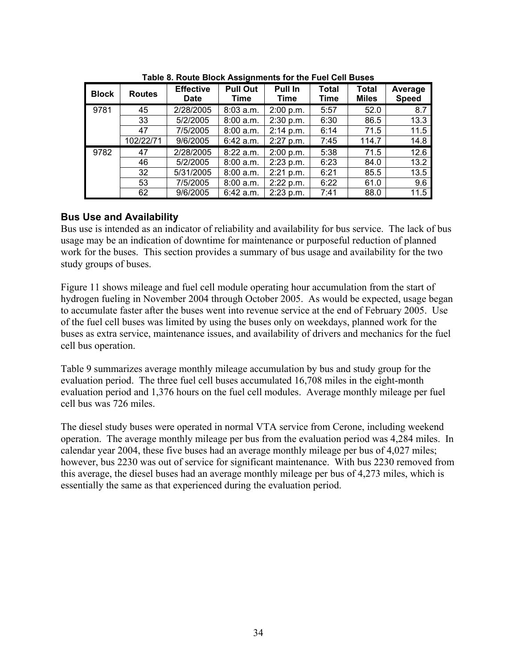<span id="page-38-0"></span>

| <b>Block</b> | <b>Routes</b> | <b>Effective</b><br><b>Date</b> | <b>Pull Out</b><br>Time | Pull In<br>Time | Total<br>Time | <b>Total</b><br><b>Miles</b> | Average<br><b>Speed</b> |
|--------------|---------------|---------------------------------|-------------------------|-----------------|---------------|------------------------------|-------------------------|
| 9781         | 45            | 2/28/2005                       | 8:03 a.m.               | 2:00 p.m.       | 5:57          | 52.0                         | 8.7                     |
|              | 33            | 5/2/2005                        | 8:00 a.m.               | 2:30 p.m.       | 6:30          | 86.5                         | 13.3                    |
|              | 47            | 7/5/2005                        | 8:00 a.m.               | 2:14 p.m.       | 6:14          | 71.5                         | 11.5                    |
|              | 102/22/71     | 9/6/2005                        | $6:42$ a.m.             | $2:27$ p.m.     | 7:45          | 114.7                        | 14.8                    |
| 9782         | 47            | 2/28/2005                       | 8:22 a.m.               | 2:00 p.m.       | 5:38          | 71.5                         | 12.6                    |
|              | 46            | 5/2/2005                        | 8:00 a.m.               | 2:23 p.m.       | 6:23          | 84.0                         | 13.2                    |
|              | 32            | 5/31/2005                       | 8:00 a.m.               | 2:21 p.m.       | 6:21          | 85.5                         | 13.5                    |
|              | 53            | 7/5/2005                        | 8:00 a.m.               | 2:22 p.m.       | 6:22          | 61.0                         | 9.6                     |
|              | 62            | 9/6/2005                        | $6:42$ a.m.             | 2:23 p.m.       | 7:41          | 88.0                         | 11.5                    |

**Table 8. Route Block Assignments for the Fuel Cell Buses** 

### **Bus Use and Availability**

Bus use is intended as an indicator of reliability and availability for bus service. The lack of bus usage may be an indication of downtime for maintenance or purposeful reduction of planned work for the buses. This section provides a summary of bus usage and availability for the two study groups of buses.

Figure 11 shows mileage and fuel cell module operating hour accumulation from the start of hydrogen fueling in November 2004 through October 2005. As would be expected, usage began to accumulate faster after the buses went into revenue service at the end of February 2005. Use of the fuel cell buses was limited by using the buses only on weekdays, planned work for the buses as extra service, maintenance issues, and availability of drivers and mechanics for the fuel cell bus operation.

Table 9 summarizes average monthly mileage accumulation by bus and study group for the evaluation period. The three fuel cell buses accumulated 16,708 miles in the eight-month evaluation period and 1,376 hours on the fuel cell modules. Average monthly mileage per fuel cell bus was 726 miles.

The diesel study buses were operated in normal VTA service from Cerone, including weekend operation. The average monthly mileage per bus from the evaluation period was 4,284 miles. In calendar year 2004, these five buses had an average monthly mileage per bus of 4,027 miles; however, bus 2230 was out of service for significant maintenance. With bus 2230 removed from this average, the diesel buses had an average monthly mileage per bus of 4,273 miles, which is essentially the same as that experienced during the evaluation period.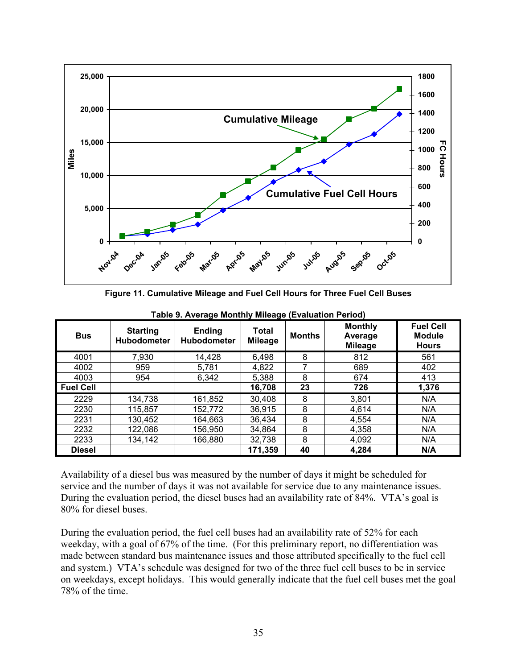

**Figure 11. Cumulative Mileage and Fuel Cell Hours for Three Fuel Cell Buses** 

| <b>Bus</b>       | <b>Starting</b><br>Hubodometer | <b>Ending</b><br><b>Hubodometer</b> | Total<br><b>Mileage</b> | <b>Months</b> | <b>Monthly</b><br>Average<br><b>Mileage</b> | <b>Fuel Cell</b><br><b>Module</b><br><b>Hours</b> |
|------------------|--------------------------------|-------------------------------------|-------------------------|---------------|---------------------------------------------|---------------------------------------------------|
| 4001             | 7,930                          | 14,428                              | 6,498                   | 8             | 812                                         | 561                                               |
| 4002             | 959                            | 5,781                               | 4,822                   |               | 689                                         | 402                                               |
| 4003             | 954                            | 6,342                               | 5,388                   | 8             | 674                                         | 413                                               |
| <b>Fuel Cell</b> |                                |                                     | 16,708                  | 23            | 726                                         | 1,376                                             |
| 2229             | 134,738                        | 161,852                             | 30,408                  | 8             | 3,801                                       | N/A                                               |
| 2230             | 115,857                        | 152,772                             | 36,915                  | 8             | 4,614                                       | N/A                                               |
| 2231             | 130,452                        | 164,663                             | 36,434                  | 8             | 4,554                                       | N/A                                               |
| 2232             | 122,086                        | 156,950                             | 34,864                  | 8             | 4,358                                       | N/A                                               |
| 2233             | 134,142                        | 166,880                             | 32,738                  | 8             | 4,092                                       | N/A                                               |
| <b>Diesel</b>    |                                |                                     | 171,359                 | 40            | 4,284                                       | N/A                                               |

**Table 9. Average Monthly Mileage (Evaluation Period)** 

Availability of a diesel bus was measured by the number of days it might be scheduled for service and the number of days it was not available for service due to any maintenance issues. During the evaluation period, the diesel buses had an availability rate of 84%. VTA's goal is 80% for diesel buses.

During the evaluation period, the fuel cell buses had an availability rate of 52% for each weekday, with a goal of 67% of the time. (For this preliminary report, no differentiation was made between standard bus maintenance issues and those attributed specifically to the fuel cell and system.) VTA's schedule was designed for two of the three fuel cell buses to be in service on weekdays, except holidays. This would generally indicate that the fuel cell buses met the goal 78% of the time.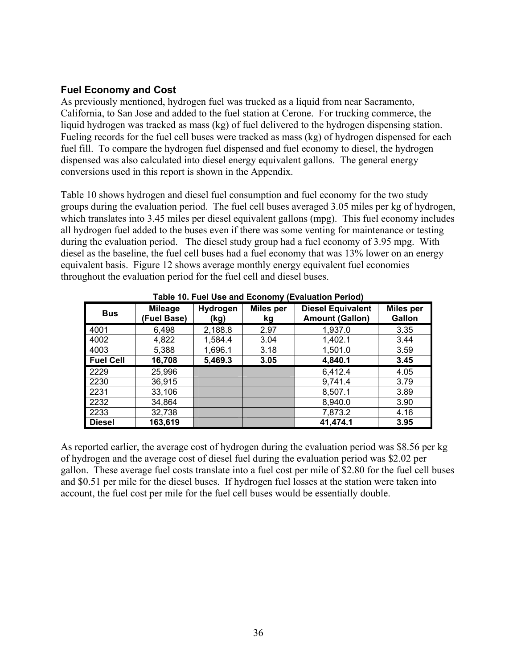### <span id="page-40-0"></span>**Fuel Economy and Cost**

As previously mentioned, hydrogen fuel was trucked as a liquid from near Sacramento, California, to San Jose and added to the fuel station at Cerone. For trucking commerce, the liquid hydrogen was tracked as mass (kg) of fuel delivered to the hydrogen dispensing station. Fueling records for the fuel cell buses were tracked as mass (kg) of hydrogen dispensed for each fuel fill. To compare the hydrogen fuel dispensed and fuel economy to diesel, the hydrogen dispensed was also calculated into diesel energy equivalent gallons. The general energy conversions used in this report is shown in the Appendix.

Table 10 shows hydrogen and diesel fuel consumption and fuel economy for the two study groups during the evaluation period. The fuel cell buses averaged 3.05 miles per kg of hydrogen, which translates into 3.45 miles per diesel equivalent gallons (mpg). This fuel economy includes all hydrogen fuel added to the buses even if there was some venting for maintenance or testing during the evaluation period. The diesel study group had a fuel economy of 3.95 mpg. With diesel as the baseline, the fuel cell buses had a fuel economy that was 13% lower on an energy equivalent basis. Figure 12 shows average monthly energy equivalent fuel economies throughout the evaluation period for the fuel cell and diesel buses.

| ww. www.mux.com/horality/intervalshipsing.com/ |                               |                  |                        |                                                    |                                   |  |
|------------------------------------------------|-------------------------------|------------------|------------------------|----------------------------------------------------|-----------------------------------|--|
| <b>Bus</b>                                     | <b>Mileage</b><br>(Fuel Base) | Hydrogen<br>(kg) | <b>Miles per</b><br>kg | <b>Diesel Equivalent</b><br><b>Amount (Gallon)</b> | <b>Miles per</b><br><b>Gallon</b> |  |
| 4001                                           | 6,498                         | 2,188.8          | 2.97                   | 1,937.0                                            | 3.35                              |  |
| 4002                                           | 4,822                         | 1,584.4          | 3.04                   | 1,402.1                                            | 3.44                              |  |
| 4003                                           | 5,388                         | 1,696.1          | 3.18                   | 1,501.0                                            | 3.59                              |  |
| <b>Fuel Cell</b>                               | 16,708                        | 5,469.3          | 3.05                   | 4,840.1                                            | 3.45                              |  |
| 2229                                           | 25,996                        |                  |                        | 6,412.4                                            | 4.05                              |  |
| 2230                                           | 36,915                        |                  |                        | 9,741.4                                            | 3.79                              |  |
| 2231                                           | 33,106                        |                  |                        | 8,507.1                                            | 3.89                              |  |
| 2232                                           | 34,864                        |                  |                        | 8,940.0                                            | 3.90                              |  |
| 2233                                           | 32,738                        |                  |                        | 7,873.2                                            | 4.16                              |  |
| <b>Diesel</b>                                  | 163,619                       |                  |                        | 41,474.1                                           | 3.95                              |  |

**Table 10. Fuel Use and Economy (Evaluation Period)** 

As reported earlier, the average cost of hydrogen during the evaluation period was \$8.56 per kg of hydrogen and the average cost of diesel fuel during the evaluation period was \$2.02 per gallon. These average fuel costs translate into a fuel cost per mile of \$2.80 for the fuel cell buses and \$0.51 per mile for the diesel buses. If hydrogen fuel losses at the station were taken into account, the fuel cost per mile for the fuel cell buses would be essentially double.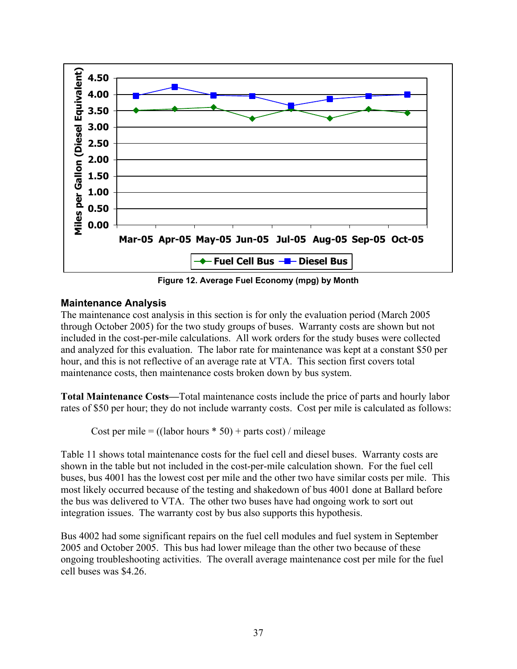<span id="page-41-0"></span>

**Figure 12. Average Fuel Economy (mpg) by Month** 

### **Maintenance Analysis**

The maintenance cost analysis in this section is for only the evaluation period (March 2005 through October 2005) for the two study groups of buses. Warranty costs are shown but not included in the cost-per-mile calculations. All work orders for the study buses were collected and analyzed for this evaluation. The labor rate for maintenance was kept at a constant \$50 per hour, and this is not reflective of an average rate at VTA. This section first covers total maintenance costs, then maintenance costs broken down by bus system.

**Total Maintenance Costs—**Total maintenance costs include the price of parts and hourly labor rates of \$50 per hour; they do not include warranty costs. Cost per mile is calculated as follows:

Cost per mile =  $((\text{labor hours} * 50) + \text{parts cost}) / \text{mileage}$ 

Table 11 shows total maintenance costs for the fuel cell and diesel buses. Warranty costs are shown in the table but not included in the cost-per-mile calculation shown. For the fuel cell buses, bus 4001 has the lowest cost per mile and the other two have similar costs per mile. This most likely occurred because of the testing and shakedown of bus 4001 done at Ballard before the bus was delivered to VTA. The other two buses have had ongoing work to sort out integration issues. The warranty cost by bus also supports this hypothesis.

Bus 4002 had some significant repairs on the fuel cell modules and fuel system in September 2005 and October 2005. This bus had lower mileage than the other two because of these ongoing troubleshooting activities. The overall average maintenance cost per mile for the fuel cell buses was \$4.26.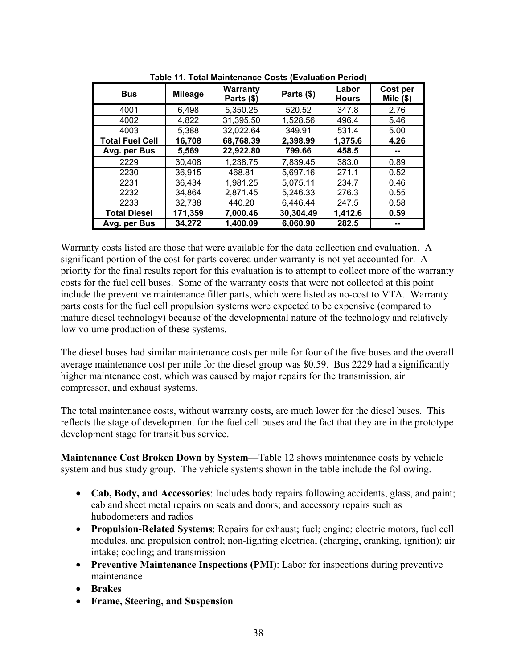| <b>Bus</b>             | <b>Mileage</b> | <b>Warranty</b><br>Parts (\$) | Parts (\$) | Labor<br><b>Hours</b> | Cost per<br>Mile $(\$)$ |
|------------------------|----------------|-------------------------------|------------|-----------------------|-------------------------|
| 4001                   | 6,498          | 5,350.25                      | 520.52     | 347.8                 | 2.76                    |
| 4002                   | 4,822          | 31,395.50                     | 1,528.56   | 496.4                 | 5.46                    |
| 4003                   | 5,388          | 32,022.64                     | 349.91     | 531.4                 | 5.00                    |
| <b>Total Fuel Cell</b> | 16,708         | 68,768.39                     | 2,398.99   | 1,375.6               | 4.26                    |
| Avg. per Bus           | 5,569          | 22,922.80                     | 799.66     | 458.5                 |                         |
| 2229                   | 30,408         | 1,238.75                      | 7,839.45   | 383.0                 | 0.89                    |
| 2230                   | 36,915         | 468.81                        | 5,697.16   | 271.1                 | 0.52                    |
| 2231                   | 36,434         | 1,981.25                      | 5,075.11   | 234.7                 | 0.46                    |
| 2232                   | 34,864         | 2,871.45                      | 5,246.33   | 276.3                 | 0.55                    |
| 2233                   | 32,738         | 440.20                        | 6,446.44   | 247.5                 | 0.58                    |
| <b>Total Diesel</b>    | 171,359        | 7,000.46                      | 30,304.49  | 1,412.6               | 0.59                    |
| Avg. per Bus           | 34,272         | 1,400.09                      | 6,060.90   | 282.5                 |                         |

**Table 11. Total Maintenance Costs (Evaluation Period)** 

Warranty costs listed are those that were available for the data collection and evaluation. A significant portion of the cost for parts covered under warranty is not yet accounted for. A priority for the final results report for this evaluation is to attempt to collect more of the warranty costs for the fuel cell buses. Some of the warranty costs that were not collected at this point include the preventive maintenance filter parts, which were listed as no-cost to VTA. Warranty parts costs for the fuel cell propulsion systems were expected to be expensive (compared to mature diesel technology) because of the developmental nature of the technology and relatively low volume production of these systems.

The diesel buses had similar maintenance costs per mile for four of the five buses and the overall average maintenance cost per mile for the diesel group was \$0.59. Bus 2229 had a significantly higher maintenance cost, which was caused by major repairs for the transmission, air compressor, and exhaust systems.

The total maintenance costs, without warranty costs, are much lower for the diesel buses. This reflects the stage of development for the fuel cell buses and the fact that they are in the prototype development stage for transit bus service.

**Maintenance Cost Broken Down by System—**Table 12 shows maintenance costs by vehicle system and bus study group. The vehicle systems shown in the table include the following.

- **Cab, Body, and Accessories**: Includes body repairs following accidents, glass, and paint; cab and sheet metal repairs on seats and doors; and accessory repairs such as hubodometers and radios
- **Propulsion-Related Systems**: Repairs for exhaust; fuel; engine; electric motors, fuel cell modules, and propulsion control; non-lighting electrical (charging, cranking, ignition); air intake; cooling; and transmission
- **Preventive Maintenance Inspections (PMI)**: Labor for inspections during preventive maintenance
- **Brakes**
- **Frame, Steering, and Suspension**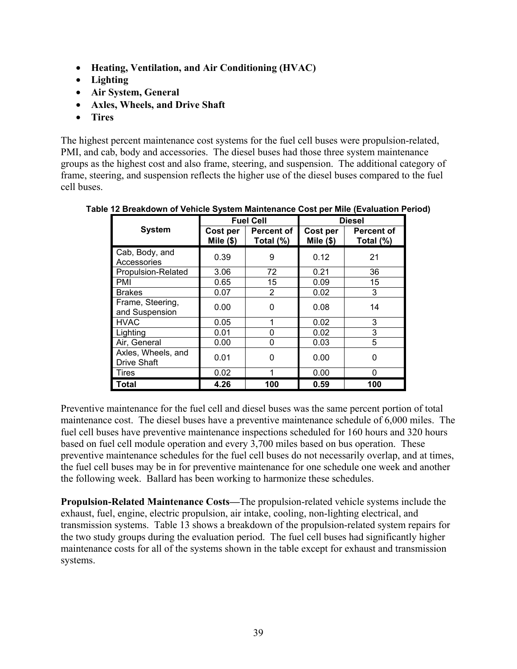- **Heating, Ventilation, and Air Conditioning (HVAC)**
- **Lighting**
- **Air System, General**
- **Axles, Wheels, and Drive Shaft**
- **Tires**

The highest percent maintenance cost systems for the fuel cell buses were propulsion-related, PMI, and cab, body and accessories. The diesel buses had those three system maintenance groups as the highest cost and also frame, steering, and suspension. The additional category of frame, steering, and suspension reflects the higher use of the diesel buses compared to the fuel cell buses.

|                                          | <b>Fuel Cell</b>       |                                | <b>Diesel</b>          |                                |  |
|------------------------------------------|------------------------|--------------------------------|------------------------|--------------------------------|--|
| <b>System</b>                            | Cost per<br>Mile $(*)$ | <b>Percent of</b><br>Total (%) | Cost per<br>Mile $($)$ | <b>Percent of</b><br>Total (%) |  |
| Cab, Body, and<br>Accessories            | 0.39                   | 9                              | 0.12                   | 21                             |  |
| Propulsion-Related                       | 3.06                   | 72                             | 0.21                   | 36                             |  |
| PMI                                      | 0.65                   | 15                             | 0.09                   | 15                             |  |
| <b>Brakes</b>                            | 0.07                   | 2                              | 0.02                   | 3                              |  |
| Frame, Steering,<br>and Suspension       | 0.00                   | 0                              | 0.08                   | 14                             |  |
| <b>HVAC</b>                              | 0.05                   | 1                              | 0.02                   | 3                              |  |
| Lighting                                 | 0.01                   | 0                              | 0.02                   | 3                              |  |
| Air, General                             | 0.00                   | 0                              | 0.03                   | 5                              |  |
| Axles, Wheels, and<br><b>Drive Shaft</b> | 0.01                   | ∩                              | 0.00                   | 0                              |  |
| Tires                                    | 0.02                   | 1                              | 0.00                   | 0                              |  |
| Total                                    | 4.26                   | 100                            | 0.59                   | 100                            |  |

**Table 12 Breakdown of Vehicle System Maintenance Cost per Mile (Evaluation Period)** 

Preventive maintenance for the fuel cell and diesel buses was the same percent portion of total maintenance cost. The diesel buses have a preventive maintenance schedule of 6,000 miles. The fuel cell buses have preventive maintenance inspections scheduled for 160 hours and 320 hours based on fuel cell module operation and every 3,700 miles based on bus operation. These preventive maintenance schedules for the fuel cell buses do not necessarily overlap, and at times, the fuel cell buses may be in for preventive maintenance for one schedule one week and another the following week. Ballard has been working to harmonize these schedules.

**Propulsion-Related Maintenance Costs—**The propulsion-related vehicle systems include the exhaust, fuel, engine, electric propulsion, air intake, cooling, non-lighting electrical, and transmission systems. Table 13 shows a breakdown of the propulsion-related system repairs for the two study groups during the evaluation period. The fuel cell buses had significantly higher maintenance costs for all of the systems shown in the table except for exhaust and transmission systems.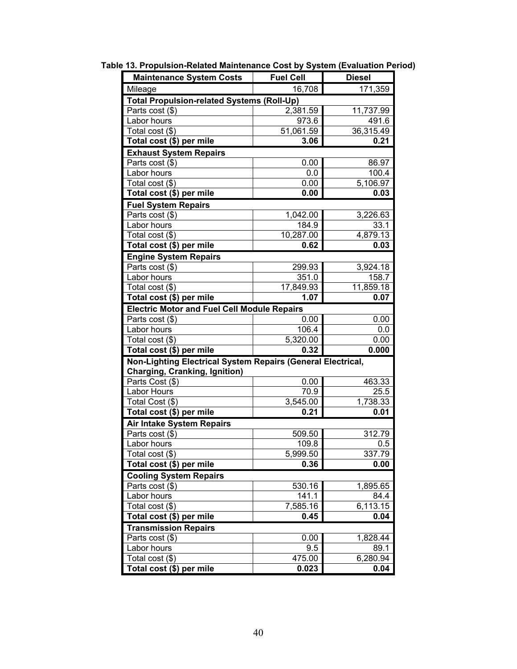| <b>Maintenance System Costs</b>                             | <b>Fuel Cell</b> | <b>Diesel</b>         |
|-------------------------------------------------------------|------------------|-----------------------|
| Mileage                                                     | 16,708           | 171,359               |
| <b>Total Propulsion-related Systems (Roll-Up)</b>           |                  |                       |
| Parts cost (\$)                                             | 2,381.59         | 11,737.99             |
| Labor hours                                                 | 973.6            | 491.6                 |
| Total cost (\$)                                             | 51,061.59        | 36,315.49             |
| Total cost (\$) per mile                                    | 3.06             | 0.21                  |
| <b>Exhaust System Repairs</b>                               |                  |                       |
| Parts cost (\$)                                             | 0.00             | 86.97                 |
| Labor hours                                                 | 0.0              | 100.4                 |
| Total cost (\$)                                             | 0.00             | $\overline{5,106.97}$ |
| Total cost (\$) per mile                                    | 0.00             | 0.03                  |
| <b>Fuel System Repairs</b>                                  |                  |                       |
| Parts cost (\$)                                             | 1,042.00         | 3,226.63              |
| Labor hours                                                 | 184.9            | 33.1                  |
| Total cost (\$)                                             | 10,287.00        | 4,879.13              |
| Total cost (\$) per mile                                    | 0.62             | 0.03                  |
| <b>Engine System Repairs</b>                                |                  |                       |
| Parts cost (\$)                                             | 299.93           | 3,924.18              |
| Labor hours                                                 | 351.0            | 158.7                 |
| Total cost (\$)                                             | 17,849.93        | 11,859.18             |
| Total cost (\$) per mile                                    | 1.07             | 0.07                  |
| <b>Electric Motor and Fuel Cell Module Repairs</b>          |                  |                       |
| Parts cost (\$)                                             | 0.00             | 0.00                  |
| Labor hours                                                 | 106.4            | 0.0                   |
| Total cost (\$)                                             | 5,320.00         | 0.00                  |
| Total cost (\$) per mile                                    | 0.32             | 0.000                 |
| Non-Lighting Electrical System Repairs (General Electrical, |                  |                       |
| <b>Charging, Cranking, Ignition)</b>                        |                  |                       |
| Parts Cost (\$)                                             | 0.00             | 463.33                |
| Labor Hours                                                 | 70.9             | 25.5                  |
| Total Cost (\$)                                             | 3,545.00         | 1,738.33              |
| Total cost (\$) per mile                                    | 0.21             | 0.01                  |
| <b>Air Intake System Repairs</b>                            |                  |                       |
| Parts cost (\$)                                             | 509.50           | 312.79                |
| Labor hours                                                 | 109.8            | 0.5                   |
| Total cost (\$)                                             | 5,999.50         | 337.79                |
| Total cost (\$) per mile                                    | 0.36             | 0.00                  |
| <b>Cooling System Repairs</b>                               |                  |                       |
| Parts cost (\$)                                             | 530.16           | 1,895.65              |
| Labor hours                                                 | 141.1            | 84.4                  |
| Total cost (\$)                                             | 7,585.16         | 6,113.15              |
| Total cost (\$) per mile                                    | 0.45             | 0.04                  |
| <b>Transmission Repairs</b>                                 |                  |                       |
| Parts cost (\$)                                             | 0.00             | 1,828.44              |
| Labor hours                                                 | 9.5              | 89.1                  |
| Total cost (\$)                                             | 475.00           | 6,280.94              |
| Total cost (\$) per mile                                    | 0.023            | 0.04                  |

**Table 13. Propulsion-Related Maintenance Cost by System (Evaluation Period)**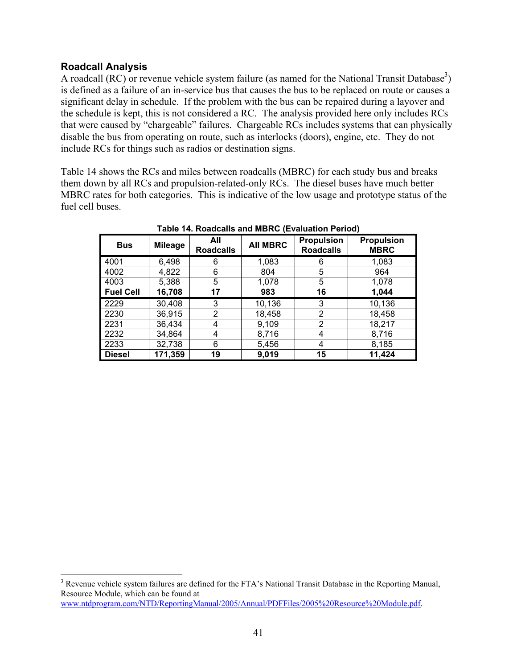### <span id="page-45-0"></span>**Roadcall Analysis**

 $\overline{a}$ 

A roadcall  $(RC)$  or revenue vehicle system failure (as named for the National Transit Database<sup>[3](#page-45-1)</sup>) is defined as a failure of an in-service bus that causes the bus to be replaced on route or causes a significant delay in schedule. If the problem with the bus can be repaired during a layover and the schedule is kept, this is not considered a RC. The analysis provided here only includes RCs that were caused by "chargeable" failures. Chargeable RCs includes systems that can physically disable the bus from operating on route, such as interlocks (doors), engine, etc. They do not include RCs for things such as radios or destination signs.

Table 14 shows the RCs and miles between roadcalls (MBRC) for each study bus and breaks them down by all RCs and propulsion-related-only RCs. The diesel buses have much better MBRC rates for both categories. This is indicative of the low usage and prototype status of the fuel cell buses.

| <b>Bus</b>       | <b>Mileage</b> | All<br><b>Roadcalls</b> | <b>All MBRC</b> | <b>Propulsion</b><br><b>Roadcalls</b> | <b>Propulsion</b><br><b>MBRC</b> |
|------------------|----------------|-------------------------|-----------------|---------------------------------------|----------------------------------|
| 4001             | 6,498          | 6                       | 1,083           | 6                                     | 1,083                            |
| 4002             | 4,822          | 6                       | 804             | 5                                     | 964                              |
| 4003             | 5,388          | 5                       | 1,078           | 5                                     | 1,078                            |
| <b>Fuel Cell</b> | 16,708         | 17                      | 983             | 16                                    | 1,044                            |
| 2229             | 30,408         | 3                       | 10,136          | 3                                     | 10,136                           |
| 2230             | 36,915         | 2                       | 18,458          | 2                                     | 18,458                           |
| 2231             | 36,434         | 4                       | 9,109           | 2                                     | 18,217                           |
| 2232             | 34,864         | 4                       | 8,716           | 4                                     | 8,716                            |
| 2233             | 32,738         | 6                       | 5,456           | 4                                     | 8,185                            |
| <b>Diesel</b>    | 171,359        | 19                      | 9,019           | 15                                    | 11,424                           |

**Table 14. Roadcalls and MBRC (Evaluation Period)** 

<span id="page-45-1"></span><sup>&</sup>lt;sup>3</sup> Revenue vehicle system failures are defined for the FTA's National Transit Database in the Reporting Manual, Resource Module, which can be found at [www.ntdprogram.com/NTD/ReportingManual/2005/Annual/PDFFiles/2005%20Resource%20Module.pdf](http://www.ntdprogram.com/NTD/ReportingManual/2005/Annual/PDFFiles/2005 Resource Module.pdf).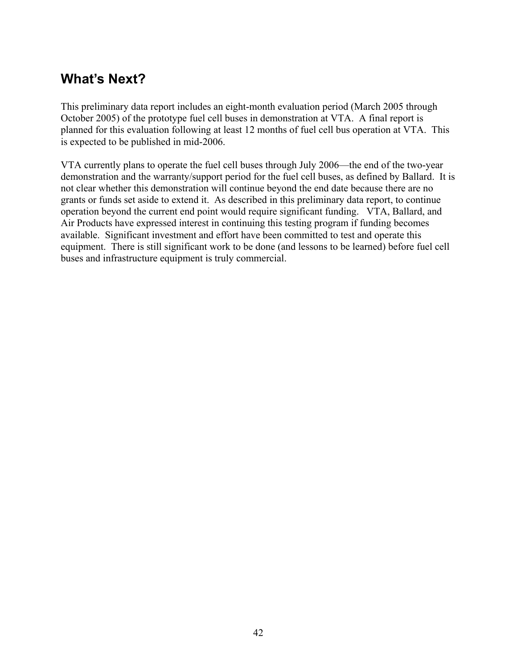# <span id="page-46-0"></span>**What's Next?**

This preliminary data report includes an eight-month evaluation period (March 2005 through October 2005) of the prototype fuel cell buses in demonstration at VTA. A final report is planned for this evaluation following at least 12 months of fuel cell bus operation at VTA. This is expected to be published in mid-2006.

VTA currently plans to operate the fuel cell buses through July 2006—the end of the two-year demonstration and the warranty/support period for the fuel cell buses, as defined by Ballard. It is not clear whether this demonstration will continue beyond the end date because there are no grants or funds set aside to extend it. As described in this preliminary data report, to continue operation beyond the current end point would require significant funding. VTA, Ballard, and Air Products have expressed interest in continuing this testing program if funding becomes available. Significant investment and effort have been committed to test and operate this equipment. There is still significant work to be done (and lessons to be learned) before fuel cell buses and infrastructure equipment is truly commercial.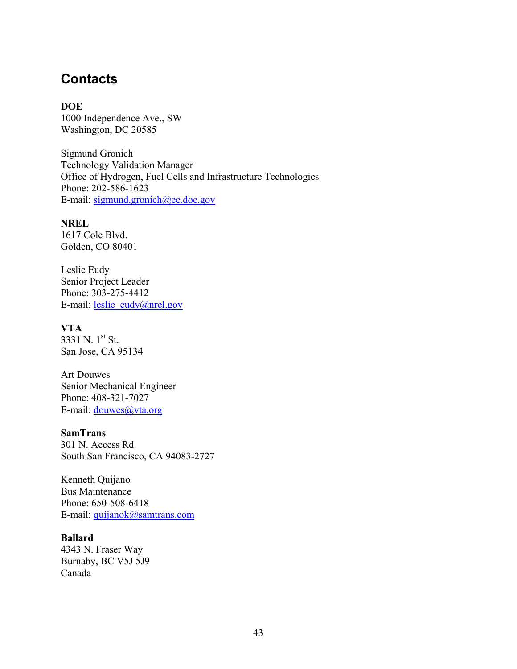### <span id="page-47-0"></span>**Contacts**

**DOE**  1000 Independence Ave., SW Washington, DC 20585

Sigmund Gronich Technology Validation Manager Office of Hydrogen, Fuel Cells and Infrastructure Technologies Phone: 202-586-1623 E-mail: sigmund.gronich@ee.doe.gov

### **NREL**

1617 Cole Blvd. Golden, CO 80401

Leslie Eudy Senior Project Leader Phone: 303-275-4412 E-mail: [leslie\\_eudy@nrel.gov](mailto:leslie_eudy@nrel.gov)

#### **VTA**

3331 N. 1st St. San Jose, CA 95134

Art Douwes Senior Mechanical Engineer Phone: 408-321-7027 E-mail: <u>douwes@vta.org</u>

#### **SamTrans**

301 N. Access Rd. South San Francisco, CA 94083-2727

Kenneth Quijano Bus Maintenance Phone: 650-508-6418 E-mail: [quijanok@samtrans.com](mailto:quijanok@samtrans.com)

#### **Ballard**

4343 N. Fraser Way Burnaby, BC V5J 5J9 Canada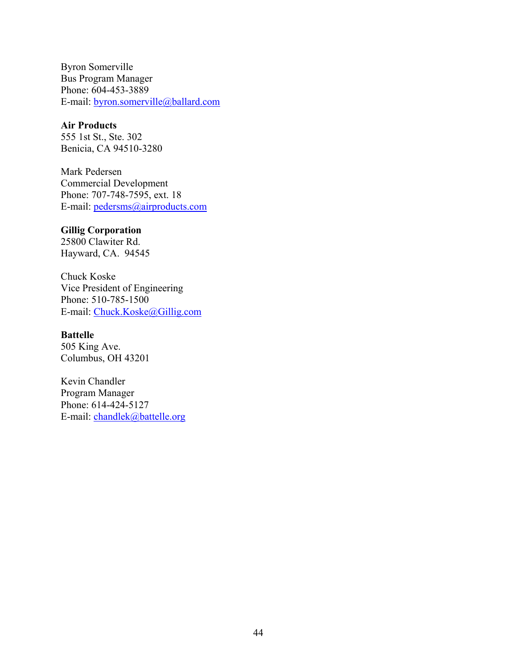Byron Somerville Bus Program Manager Phone: 604-453-3889 E-mail: byron.somerville@ballard.com

### **Air Products**

555 1st St., Ste. 302 Benicia, CA 94510-3280

Mark Pedersen Commercial Development Phone: 707-748-7595, ext. 18 E-mail: pedersms@airproducts.com

### **Gillig Corporation**

25800 Clawiter Rd. Hayward, CA. 94545

Chuck Koske Vice President of Engineering Phone: 510-785-1500 E-mail: Chuck.Koske@Gillig.com

#### **Battelle**

505 King Ave. Columbus, OH 43201

Kevin Chandler Program Manager Phone: 614-424-5127 E-mail: [chandlek@battelle.org](mailto:chandlek@battelle.org)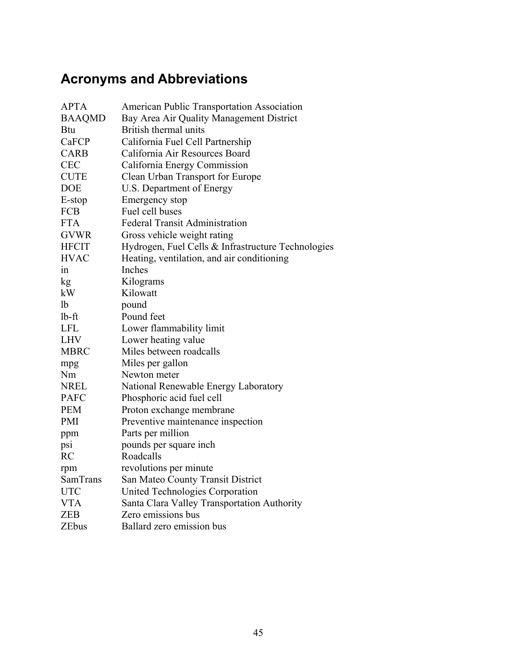# <span id="page-49-0"></span>**Acronyms and Abbreviations**

| <b>APTA</b>   | <b>American Public Transportation Association</b>  |
|---------------|----------------------------------------------------|
| <b>BAAQMD</b> | Bay Area Air Quality Management District           |
| <b>Btu</b>    | British thermal units                              |
| CaFCP         | California Fuel Cell Partnership                   |
| <b>CARB</b>   | California Air Resources Board                     |
| <b>CEC</b>    | California Energy Commission                       |
| <b>CUTE</b>   | Clean Urban Transport for Europe                   |
| <b>DOE</b>    | U.S. Department of Energy                          |
| E-stop        | Emergency stop                                     |
| <b>FCB</b>    | Fuel cell buses                                    |
| <b>FTA</b>    | <b>Federal Transit Administration</b>              |
| <b>GVWR</b>   | Gross vehicle weight rating                        |
| <b>HFCIT</b>  | Hydrogen, Fuel Cells & Infrastructure Technologies |
| <b>HVAC</b>   | Heating, ventilation, and air conditioning         |
| 1n            | Inches                                             |
| kg            | Kilograms                                          |
| kW            | Kilowatt                                           |
| 1b            | pound                                              |
| $1b-ft$       | Pound feet                                         |
| <b>LFL</b>    | Lower flammability limit                           |
| <b>LHV</b>    | Lower heating value                                |
| <b>MBRC</b>   | Miles between roadcalls                            |
| mpg           | Miles per gallon                                   |
| Nm            | Newton meter                                       |
| <b>NREL</b>   | National Renewable Energy Laboratory               |
| <b>PAFC</b>   | Phosphoric acid fuel cell                          |
| <b>PEM</b>    | Proton exchange membrane                           |
| <b>PMI</b>    | Preventive maintenance inspection                  |
| ppm           | Parts per million                                  |
| psi           | pounds per square inch                             |
| <b>RC</b>     | Roadcalls                                          |
| rpm           | revolutions per minute                             |
| SamTrans      | San Mateo County Transit District                  |
| <b>UTC</b>    | United Technologies Corporation                    |
| <b>VTA</b>    | Santa Clara Valley Transportation Authority        |
| <b>ZEB</b>    | Zero emissions bus                                 |
| <b>ZEbus</b>  | Ballard zero emission bus                          |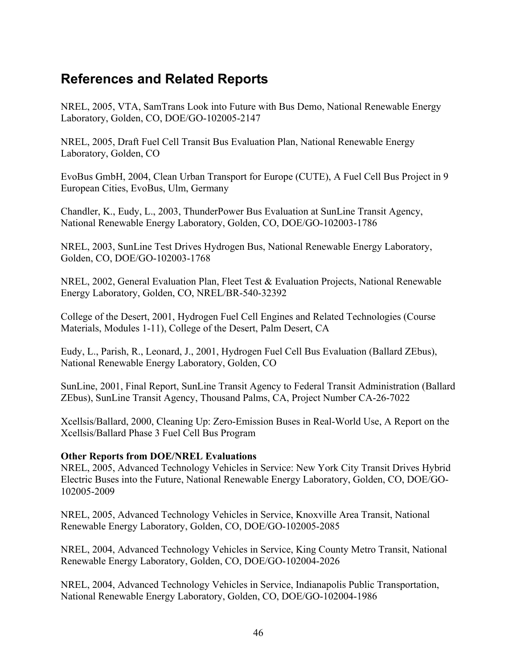# <span id="page-50-0"></span>**References and Related Reports**

NREL, 2005, VTA, SamTrans Look into Future with Bus Demo, National Renewable Energy Laboratory, Golden, CO, DOE/GO-102005-2147

NREL, 2005, Draft Fuel Cell Transit Bus Evaluation Plan, National Renewable Energy Laboratory, Golden, CO

EvoBus GmbH, 2004, Clean Urban Transport for Europe (CUTE), A Fuel Cell Bus Project in 9 European Cities, EvoBus, Ulm, Germany

Chandler, K., Eudy, L., 2003, ThunderPower Bus Evaluation at SunLine Transit Agency, National Renewable Energy Laboratory, Golden, CO, DOE/GO-102003-1786

NREL, 2003, SunLine Test Drives Hydrogen Bus, National Renewable Energy Laboratory, Golden, CO, DOE/GO-102003-1768

NREL, 2002, General Evaluation Plan, Fleet Test & Evaluation Projects, National Renewable Energy Laboratory, Golden, CO, NREL/BR-540-32392

College of the Desert, 2001, Hydrogen Fuel Cell Engines and Related Technologies (Course Materials, Modules 1-11), College of the Desert, Palm Desert, CA

Eudy, L., Parish, R., Leonard, J., 2001, Hydrogen Fuel Cell Bus Evaluation (Ballard ZEbus), National Renewable Energy Laboratory, Golden, CO

SunLine, 2001, Final Report, SunLine Transit Agency to Federal Transit Administration (Ballard ZEbus), SunLine Transit Agency, Thousand Palms, CA, Project Number CA-26-7022

Xcellsis/Ballard, 2000, Cleaning Up: Zero-Emission Buses in Real-World Use, A Report on the Xcellsis/Ballard Phase 3 Fuel Cell Bus Program

### **Other Reports from DOE/NREL Evaluations**

NREL, 2005, Advanced Technology Vehicles in Service: New York City Transit Drives Hybrid Electric Buses into the Future, National Renewable Energy Laboratory, Golden, CO, DOE/GO-102005-2009

NREL, 2005, Advanced Technology Vehicles in Service, Knoxville Area Transit, National Renewable Energy Laboratory, Golden, CO, DOE/GO-102005-2085

NREL, 2004, Advanced Technology Vehicles in Service, King County Metro Transit, National Renewable Energy Laboratory, Golden, CO, DOE/GO-102004-2026

NREL, 2004, Advanced Technology Vehicles in Service, Indianapolis Public Transportation, National Renewable Energy Laboratory, Golden, CO, DOE/GO-102004-1986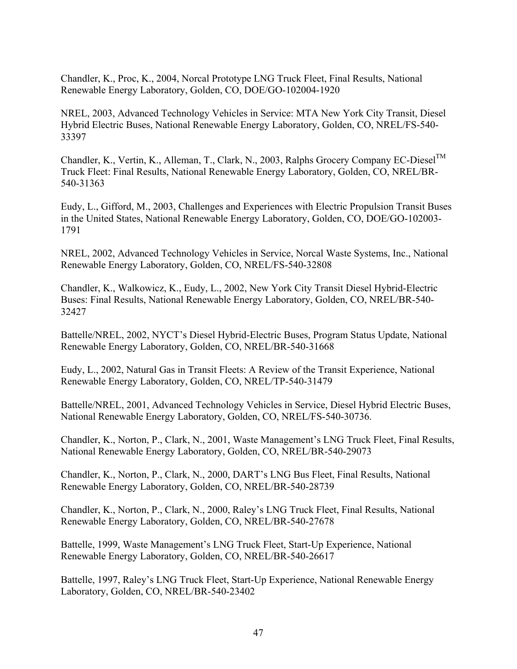Chandler, K., Proc, K., 2004, Norcal Prototype LNG Truck Fleet, Final Results, National Renewable Energy Laboratory, Golden, CO, DOE/GO-102004-1920

NREL, 2003, Advanced Technology Vehicles in Service: MTA New York City Transit, Diesel Hybrid Electric Buses, National Renewable Energy Laboratory, Golden, CO, NREL/FS-540- 33397

Chandler, K., Vertin, K., Alleman, T., Clark, N., 2003, Ralphs Grocery Company EC-Diesel<sup>TM</sup> Truck Fleet: Final Results, National Renewable Energy Laboratory, Golden, CO, NREL/BR-540-31363

Eudy, L., Gifford, M., 2003, Challenges and Experiences with Electric Propulsion Transit Buses in the United States, National Renewable Energy Laboratory, Golden, CO, DOE/GO-102003- 1791

NREL, 2002, Advanced Technology Vehicles in Service, Norcal Waste Systems, Inc., National Renewable Energy Laboratory, Golden, CO, NREL/FS-540-32808

Chandler, K., Walkowicz, K., Eudy, L., 2002, New York City Transit Diesel Hybrid-Electric Buses: Final Results, National Renewable Energy Laboratory, Golden, CO, NREL/BR-540- 32427

Battelle/NREL, 2002, NYCT's Diesel Hybrid-Electric Buses, Program Status Update, National Renewable Energy Laboratory, Golden, CO, NREL/BR-540-31668

Eudy, L., 2002, Natural Gas in Transit Fleets: A Review of the Transit Experience, National Renewable Energy Laboratory, Golden, CO, NREL/TP-540-31479

Battelle/NREL, 2001, Advanced Technology Vehicles in Service, Diesel Hybrid Electric Buses, National Renewable Energy Laboratory, Golden, CO, NREL/FS-540-30736.

Chandler, K., Norton, P., Clark, N., 2001, Waste Management's LNG Truck Fleet, Final Results, National Renewable Energy Laboratory, Golden, CO, NREL/BR-540-29073

Chandler, K., Norton, P., Clark, N., 2000, DART's LNG Bus Fleet, Final Results, National Renewable Energy Laboratory, Golden, CO, NREL/BR-540-28739

Chandler, K., Norton, P., Clark, N., 2000, Raley's LNG Truck Fleet, Final Results, National Renewable Energy Laboratory, Golden, CO, NREL/BR-540-27678

Battelle, 1999, Waste Management's LNG Truck Fleet, Start-Up Experience, National Renewable Energy Laboratory, Golden, CO, NREL/BR-540-26617

Battelle, 1997, Raley's LNG Truck Fleet, Start-Up Experience, National Renewable Energy Laboratory, Golden, CO, NREL/BR-540-23402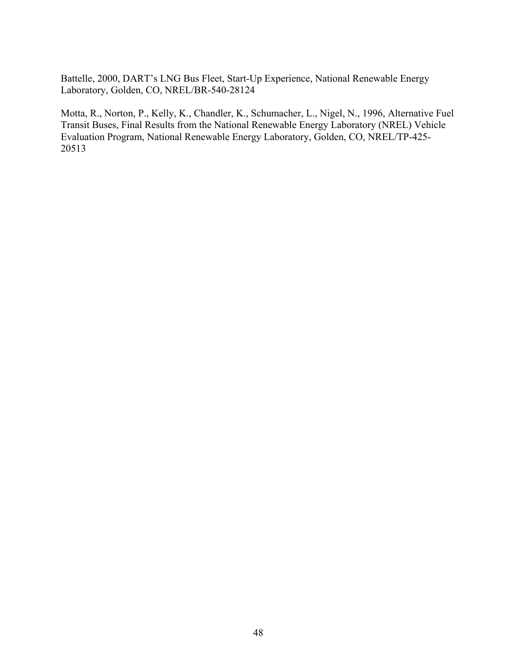Battelle, 2000, DART's LNG Bus Fleet, Start-Up Experience, National Renewable Energy Laboratory, Golden, CO, NREL/BR-540-28124

Motta, R., Norton, P., Kelly, K., Chandler, K., Schumacher, L., Nigel, N., 1996, Alternative Fuel Transit Buses, Final Results from the National Renewable Energy Laboratory (NREL) Vehicle Evaluation Program, National Renewable Energy Laboratory, Golden, CO, NREL/TP-425- 20513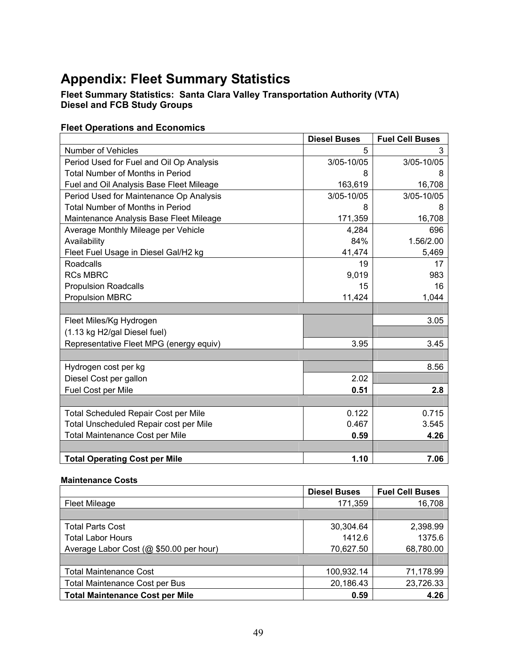# <span id="page-53-0"></span>**Appendix: Fleet Summary Statistics**

#### **Fleet Summary Statistics: Santa Clara Valley Transportation Authority (VTA) Diesel and FCB Study Groups**

### **Fleet Operations and Economics**

|                                             | <b>Diesel Buses</b> | <b>Fuel Cell Buses</b> |
|---------------------------------------------|---------------------|------------------------|
| Number of Vehicles                          | 5                   | 3                      |
| Period Used for Fuel and Oil Op Analysis    | 3/05-10/05          | 3/05-10/05             |
| <b>Total Number of Months in Period</b>     | 8                   | 8                      |
| Fuel and Oil Analysis Base Fleet Mileage    | 163,619             | 16,708                 |
| Period Used for Maintenance Op Analysis     | 3/05-10/05          | 3/05-10/05             |
| <b>Total Number of Months in Period</b>     | 8                   | 8                      |
| Maintenance Analysis Base Fleet Mileage     | 171,359             | 16,708                 |
| Average Monthly Mileage per Vehicle         | 4,284               | 696                    |
| Availability                                | 84%                 | 1.56/2.00              |
| Fleet Fuel Usage in Diesel Gal/H2 kg        | 41,474              | 5,469                  |
| Roadcalls                                   | 19                  | 17                     |
| <b>RCs MBRC</b>                             | 9,019               | 983                    |
| <b>Propulsion Roadcalls</b>                 | 15                  | 16                     |
| <b>Propulsion MBRC</b>                      | 11,424              | 1,044                  |
|                                             |                     |                        |
| Fleet Miles/Kg Hydrogen                     |                     | 3.05                   |
| (1.13 kg H2/gal Diesel fuel)                |                     |                        |
| Representative Fleet MPG (energy equiv)     | 3.95                | 3.45                   |
|                                             |                     |                        |
| Hydrogen cost per kg                        |                     | 8.56                   |
| Diesel Cost per gallon                      | 2.02                |                        |
| Fuel Cost per Mile                          | 0.51                | 2.8                    |
|                                             |                     |                        |
| <b>Total Scheduled Repair Cost per Mile</b> | 0.122               | 0.715                  |
| Total Unscheduled Repair cost per Mile      | 0.467               | 3.545                  |
| <b>Total Maintenance Cost per Mile</b>      | 0.59                | 4.26                   |
|                                             |                     |                        |
| <b>Total Operating Cost per Mile</b>        | 1.10                | 7.06                   |

#### **Maintenance Costs**

|                                         | <b>Diesel Buses</b> | <b>Fuel Cell Buses</b> |
|-----------------------------------------|---------------------|------------------------|
| <b>Fleet Mileage</b>                    | 171,359             | 16,708                 |
|                                         |                     |                        |
| <b>Total Parts Cost</b>                 | 30,304.64           | 2,398.99               |
| <b>Total Labor Hours</b>                | 1412.6              | 1375.6                 |
| Average Labor Cost (@ \$50.00 per hour) | 70,627.50           | 68,780.00              |
|                                         |                     |                        |
| <b>Total Maintenance Cost</b>           | 100,932.14          | 71,178.99              |
| <b>Total Maintenance Cost per Bus</b>   | 20,186.43           | 23,726.33              |
| <b>Total Maintenance Cost per Mile</b>  | 0.59                | 4.26                   |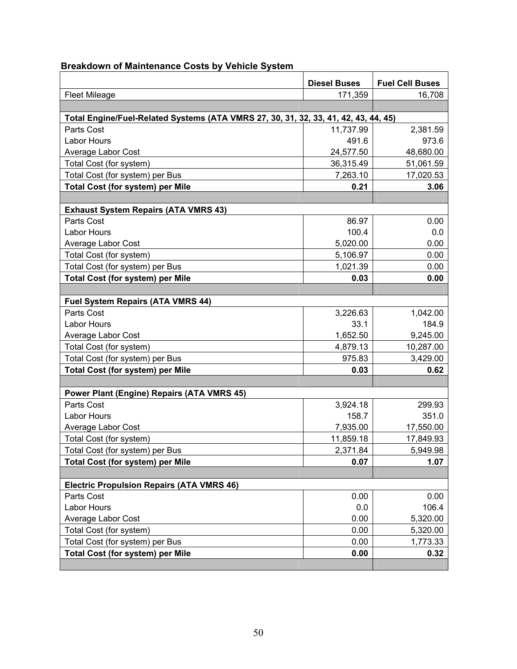|                                                                                     | <b>Diesel Buses</b> | <b>Fuel Cell Buses</b> |
|-------------------------------------------------------------------------------------|---------------------|------------------------|
| <b>Fleet Mileage</b>                                                                | 171,359             | 16,708                 |
|                                                                                     |                     |                        |
| Total Engine/Fuel-Related Systems (ATA VMRS 27, 30, 31, 32, 33, 41, 42, 43, 44, 45) |                     |                        |
| Parts Cost                                                                          | 11,737.99           | 2,381.59               |
| Labor Hours                                                                         | 491.6               | 973.6                  |
| Average Labor Cost                                                                  | 24,577.50           | 48,680.00              |
| Total Cost (for system)                                                             | 36,315.49           | 51,061.59              |
| Total Cost (for system) per Bus                                                     | 7,263.10            | 17,020.53              |
| <b>Total Cost (for system) per Mile</b>                                             | 0.21                | 3.06                   |
|                                                                                     |                     |                        |
| <b>Exhaust System Repairs (ATA VMRS 43)</b>                                         |                     |                        |
| Parts Cost                                                                          | 86.97               | 0.00                   |
| Labor Hours                                                                         | 100.4               | 0.0                    |
| Average Labor Cost                                                                  | 5,020.00            | 0.00                   |
| Total Cost (for system)                                                             | 5,106.97            | 0.00                   |
| Total Cost (for system) per Bus                                                     | 1,021.39            | 0.00                   |
| <b>Total Cost (for system) per Mile</b>                                             | 0.03                | 0.00                   |
|                                                                                     |                     |                        |
| <b>Fuel System Repairs (ATA VMRS 44)</b>                                            |                     |                        |
| Parts Cost                                                                          | 3,226.63            | 1,042.00               |
| <b>Labor Hours</b>                                                                  | 33.1                | 184.9                  |
| Average Labor Cost                                                                  | 1,652.50            | 9,245.00               |
| Total Cost (for system)                                                             | 4,879.13            | 10,287.00              |
| Total Cost (for system) per Bus                                                     | 975.83              | 3,429.00               |
| <b>Total Cost (for system) per Mile</b>                                             | 0.03                | 0.62                   |
|                                                                                     |                     |                        |
| <b>Power Plant (Engine) Repairs (ATA VMRS 45)</b>                                   |                     |                        |
| Parts Cost                                                                          | 3,924.18            | 299.93                 |
| <b>Labor Hours</b>                                                                  | 158.7               | 351.0                  |
| Average Labor Cost                                                                  | 7,935.00            | 17,550.00              |
| Total Cost (for system)                                                             | 11,859.18           | 17,849.93              |
| Total Cost (for system) per Bus                                                     | 2,371.84            | 5,949.98               |
| <b>Total Cost (for system) per Mile</b>                                             | 0.07                | 1.07                   |
|                                                                                     |                     |                        |
| <b>Electric Propulsion Repairs (ATA VMRS 46)</b>                                    |                     |                        |
| Parts Cost                                                                          | 0.00                | 0.00                   |
| Labor Hours                                                                         | 0.0                 | 106.4                  |
| Average Labor Cost                                                                  | 0.00                | 5,320.00               |
| Total Cost (for system)                                                             | 0.00                | 5,320.00               |
| Total Cost (for system) per Bus                                                     | 0.00                | 1,773.33               |
| <b>Total Cost (for system) per Mile</b>                                             | 0.00                | 0.32                   |
|                                                                                     |                     |                        |

### **Breakdown of Maintenance Costs by Vehicle System**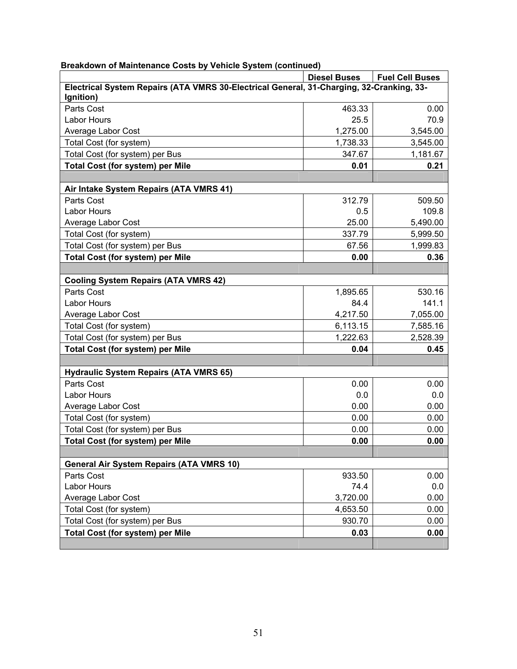|                                                                                          | <b>Diesel Buses</b> | <b>Fuel Cell Buses</b> |
|------------------------------------------------------------------------------------------|---------------------|------------------------|
| Electrical System Repairs (ATA VMRS 30-Electrical General, 31-Charging, 32-Cranking, 33- |                     |                        |
| Ignition)                                                                                |                     |                        |
| Parts Cost                                                                               | 463.33              | 0.00                   |
| <b>Labor Hours</b>                                                                       | 25.5                | 70.9                   |
| Average Labor Cost                                                                       | 1,275.00            | 3,545.00               |
| Total Cost (for system)                                                                  | 1,738.33            | 3,545.00               |
| Total Cost (for system) per Bus                                                          | 347.67              | 1,181.67               |
| <b>Total Cost (for system) per Mile</b>                                                  | 0.01                | 0.21                   |
|                                                                                          |                     |                        |
| Air Intake System Repairs (ATA VMRS 41)                                                  |                     |                        |
| Parts Cost                                                                               | 312.79              | 509.50                 |
| <b>Labor Hours</b>                                                                       | 0.5                 | 109.8                  |
| Average Labor Cost                                                                       | 25.00               | 5,490.00               |
| Total Cost (for system)                                                                  | 337.79              | 5,999.50               |
| Total Cost (for system) per Bus                                                          | 67.56               | 1,999.83               |
| <b>Total Cost (for system) per Mile</b>                                                  | 0.00                | 0.36                   |
|                                                                                          |                     |                        |
| <b>Cooling System Repairs (ATA VMRS 42)</b>                                              |                     |                        |
| Parts Cost                                                                               | 1,895.65            | 530.16                 |
| <b>Labor Hours</b>                                                                       | 84.4                | 141.1                  |
| Average Labor Cost                                                                       | 4,217.50            | 7,055.00               |
| Total Cost (for system)                                                                  | 6,113.15            | 7,585.16               |
| Total Cost (for system) per Bus                                                          | 1,222.63            | 2,528.39               |
| <b>Total Cost (for system) per Mile</b>                                                  | 0.04                | 0.45                   |
|                                                                                          |                     |                        |
| <b>Hydraulic System Repairs (ATA VMRS 65)</b>                                            |                     |                        |
| Parts Cost                                                                               | 0.00                | 0.00                   |
| <b>Labor Hours</b>                                                                       | 0.0                 | 0.0                    |
| Average Labor Cost                                                                       | 0.00                | 0.00                   |
| Total Cost (for system)                                                                  | 0.00                | 0.00                   |
| Total Cost (for system) per Bus                                                          | 0.00                | 0.00                   |
| <b>Total Cost (for system) per Mile</b>                                                  | 0.00                | 0.00                   |
|                                                                                          |                     |                        |
| <b>General Air System Repairs (ATA VMRS 10)</b>                                          |                     |                        |
| Parts Cost                                                                               | 933.50              | 0.00                   |
| <b>Labor Hours</b>                                                                       | 74.4                | 0.0                    |
| Average Labor Cost                                                                       | 3,720.00            | 0.00                   |
| Total Cost (for system)                                                                  | 4,653.50            | 0.00                   |
| Total Cost (for system) per Bus                                                          | 930.70              | 0.00                   |
| <b>Total Cost (for system) per Mile</b>                                                  | 0.03                | 0.00                   |
|                                                                                          |                     |                        |

#### **Breakdown of Maintenance Costs by Vehicle System (continued)**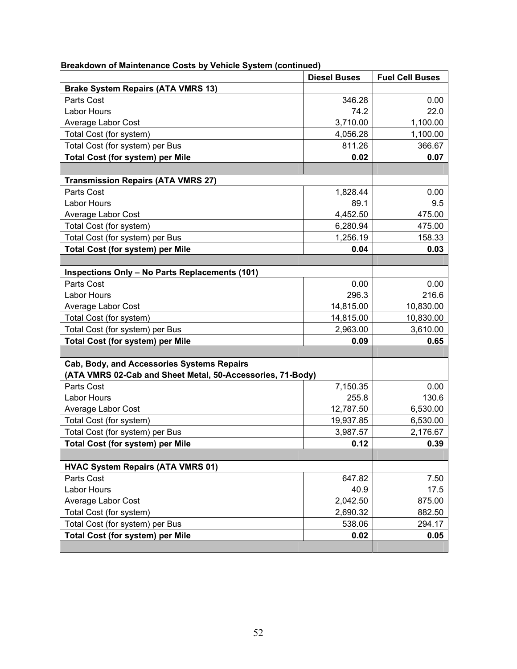| candown or mannemance ocsis by<br>venicle oystem (continued) | <b>Diesel Buses</b> | <b>Fuel Cell Buses</b> |
|--------------------------------------------------------------|---------------------|------------------------|
| <b>Brake System Repairs (ATA VMRS 13)</b>                    |                     |                        |
| Parts Cost                                                   | 346.28              | 0.00                   |
| <b>Labor Hours</b>                                           | 74.2                | 22.0                   |
| Average Labor Cost                                           | 3,710.00            | 1,100.00               |
| Total Cost (for system)                                      | 4,056.28            | 1,100.00               |
| Total Cost (for system) per Bus                              | 811.26              | 366.67                 |
| <b>Total Cost (for system) per Mile</b>                      | 0.02                | 0.07                   |
|                                                              |                     |                        |
| <b>Transmission Repairs (ATA VMRS 27)</b>                    |                     |                        |
| Parts Cost                                                   | 1,828.44            | 0.00                   |
| <b>Labor Hours</b>                                           | 89.1                | 9.5                    |
| Average Labor Cost                                           | 4,452.50            | 475.00                 |
| Total Cost (for system)                                      | 6,280.94            | 475.00                 |
| Total Cost (for system) per Bus                              | 1,256.19            | 158.33                 |
| <b>Total Cost (for system) per Mile</b>                      | 0.04                | 0.03                   |
|                                                              |                     |                        |
| Inspections Only - No Parts Replacements (101)               |                     |                        |
| Parts Cost                                                   | 0.00                | 0.00                   |
| <b>Labor Hours</b>                                           | 296.3               | 216.6                  |
| Average Labor Cost                                           | 14,815.00           | 10,830.00              |
| Total Cost (for system)                                      | 14,815.00           | 10,830.00              |
| Total Cost (for system) per Bus                              | 2,963.00            | 3,610.00               |
| <b>Total Cost (for system) per Mile</b>                      | 0.09                | 0.65                   |
|                                                              |                     |                        |
| Cab, Body, and Accessories Systems Repairs                   |                     |                        |
| (ATA VMRS 02-Cab and Sheet Metal, 50-Accessories, 71-Body)   |                     |                        |
| Parts Cost                                                   | 7,150.35            | 0.00                   |
| <b>Labor Hours</b>                                           | 255.8               | 130.6                  |
| Average Labor Cost                                           | 12,787.50           | 6,530.00               |
| Total Cost (for system)                                      | 19,937.85           | 6,530.00               |
| Total Cost (for system) per Bus                              | 3,987.57            | 2,176.67               |
| <b>Total Cost (for system) per Mile</b>                      | 0.12                | 0.39                   |
|                                                              |                     |                        |
| <b>HVAC System Repairs (ATA VMRS 01)</b>                     |                     |                        |
| Parts Cost                                                   | 647.82              | 7.50                   |
| <b>Labor Hours</b>                                           | 40.9                | 17.5                   |
| Average Labor Cost                                           | 2,042.50            | 875.00                 |
| Total Cost (for system)                                      | 2,690.32            | 882.50                 |
| Total Cost (for system) per Bus                              | 538.06              | 294.17                 |
| <b>Total Cost (for system) per Mile</b>                      | 0.02                | 0.05                   |
|                                                              |                     |                        |

#### **Breakdown of Maintenance Costs by Vehicle System (continued)**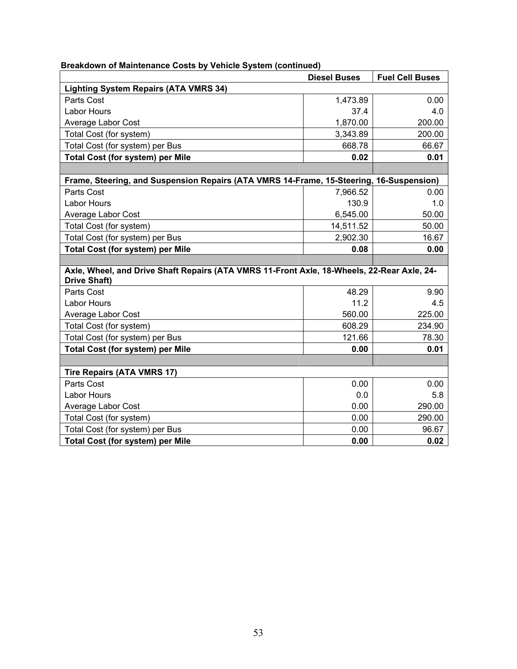| Breakdown of Maintenance Costs by Vehicle System (continued) |  |  |  |
|--------------------------------------------------------------|--|--|--|

|                                                                                            | <b>Diesel Buses</b> | <b>Fuel Cell Buses</b> |
|--------------------------------------------------------------------------------------------|---------------------|------------------------|
| <b>Lighting System Repairs (ATA VMRS 34)</b>                                               |                     |                        |
| Parts Cost                                                                                 | 1,473.89            | 0.00                   |
| <b>Labor Hours</b>                                                                         | 37.4                | 4.0                    |
| Average Labor Cost                                                                         | 1,870.00            | 200.00                 |
| Total Cost (for system)                                                                    | 3,343.89            | 200.00                 |
| Total Cost (for system) per Bus                                                            | 668.78              | 66.67                  |
| <b>Total Cost (for system) per Mile</b>                                                    | 0.02                | 0.01                   |
|                                                                                            |                     |                        |
| Frame, Steering, and Suspension Repairs (ATA VMRS 14-Frame, 15-Steering, 16-Suspension)    |                     |                        |
| Parts Cost                                                                                 | 7,966.52            | 0.00                   |
| <b>Labor Hours</b>                                                                         | 130.9               | 1.0                    |
| Average Labor Cost                                                                         | 6,545.00            | 50.00                  |
| Total Cost (for system)                                                                    | 14,511.52           | 50.00                  |
| Total Cost (for system) per Bus                                                            | 2,902.30            | 16.67                  |
| <b>Total Cost (for system) per Mile</b>                                                    | 0.08                | 0.00                   |
|                                                                                            |                     |                        |
| Axle, Wheel, and Drive Shaft Repairs (ATA VMRS 11-Front Axle, 18-Wheels, 22-Rear Axle, 24- |                     |                        |
| <b>Drive Shaft)</b>                                                                        |                     |                        |
| Parts Cost                                                                                 | 48.29               | 9.90                   |
| <b>Labor Hours</b>                                                                         | 11.2                | 4.5                    |
| Average Labor Cost                                                                         | 560.00              | 225.00                 |
| Total Cost (for system)                                                                    | 608.29              | 234.90                 |
| Total Cost (for system) per Bus                                                            | 121.66              | 78.30                  |
| <b>Total Cost (for system) per Mile</b>                                                    | 0.00                | 0.01                   |
|                                                                                            |                     |                        |
| <b>Tire Repairs (ATA VMRS 17)</b>                                                          |                     |                        |
| Parts Cost                                                                                 | 0.00                | 0.00                   |
| Labor Hours                                                                                | 0.0                 | 5.8                    |
| Average Labor Cost                                                                         | 0.00                | 290.00                 |
| Total Cost (for system)                                                                    | 0.00                | 290.00                 |
| Total Cost (for system) per Bus                                                            | 0.00                | 96.67                  |
| <b>Total Cost (for system) per Mile</b>                                                    | 0.00                | 0.02                   |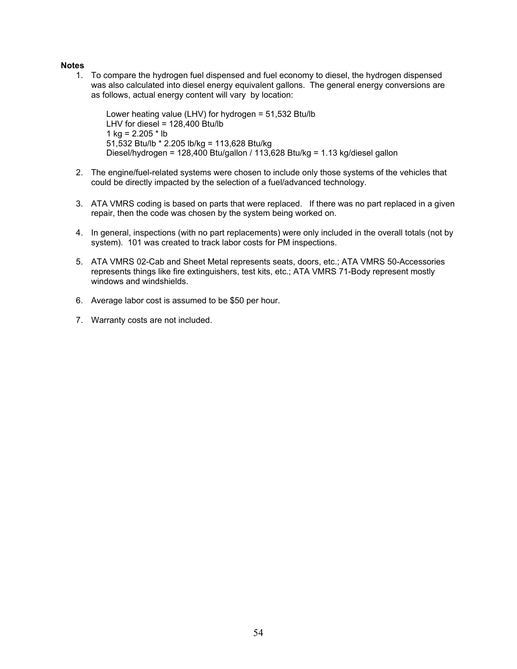#### **Notes**

1. To compare the hydrogen fuel dispensed and fuel economy to diesel, the hydrogen dispensed was also calculated into diesel energy equivalent gallons. The general energy conversions are as follows, actual energy content will vary by location:

Lower heating value (LHV) for hydrogen = 51,532 Btu/lb LHV for diesel =  $128,400$  Btu/lb 1 kg =  $2.205 * lb$ 51,532 Btu/lb \* 2.205 lb/kg = 113,628 Btu/kg Diesel/hydrogen = 128,400 Btu/gallon / 113,628 Btu/kg = 1.13 kg/diesel gallon

- 2. The engine/fuel-related systems were chosen to include only those systems of the vehicles that could be directly impacted by the selection of a fuel/advanced technology.
- 3. ATA VMRS coding is based on parts that were replaced. If there was no part replaced in a given repair, then the code was chosen by the system being worked on.
- 4. In general, inspections (with no part replacements) were only included in the overall totals (not by system). 101 was created to track labor costs for PM inspections.
- 5. ATA VMRS 02-Cab and Sheet Metal represents seats, doors, etc.; ATA VMRS 50-Accessories represents things like fire extinguishers, test kits, etc.; ATA VMRS 71-Body represent mostly windows and windshields.
- 6. Average labor cost is assumed to be \$50 per hour.
- 7. Warranty costs are not included.